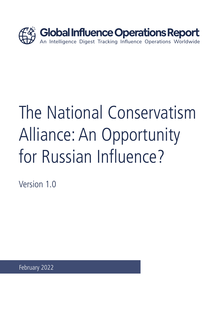

# The National Conservatism Alliance: An Opportunity for Russian Influence?

Version 1.0

February 2022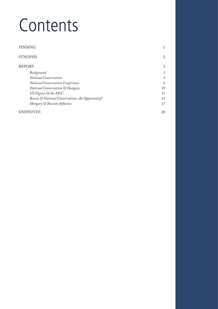# Contents

| <b>FINDING</b>                                  | 1         |
|-------------------------------------------------|-----------|
| <b>SYNOPSIS</b>                                 | 2         |
| <b>REPORT</b>                                   | 3         |
| Background                                      | 3         |
| <b>National Conservatism</b>                    | 5         |
| National Conservatism Conferences               | 6         |
| <b>National Conservatism &amp; Hungary</b>      | <i>10</i> |
| US Figures & the MCC                            | 11        |
| Russia & National Conservatism- An Opportunity? | 15        |
| Hungary & Russian Influence                     | 17        |
| <b>ENDNOTES</b>                                 | 20        |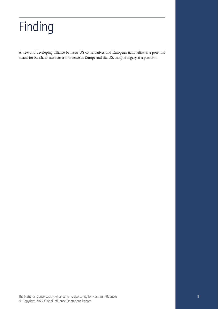# <span id="page-4-0"></span>Finding

A new and developing alliance between US conservatives and European nationalists is a potential means for Russia to exert covert influence in Europe and the US, using Hungary as a platform.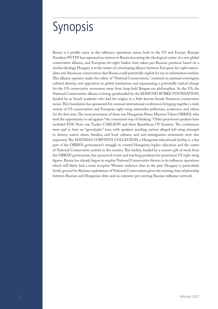## <span id="page-5-0"></span>Synopsis

Russia is a prolific actor in the influence operations arena, both in the US and Europe. Russian President PUTIN has expressed an interest in Russia becoming the ideological center of a new global conservative alliance, and European far-right leaders have taken pro-Russian positions based on a similar ideology. Hungary is at the center of a developing alliance between European far-right nationalists and American conservatives that Russia could potentially exploit for use in information warfare. This alliance operates under the rubric of "National Conservatism," centered on national sovereignty, cultural identity, and opposition to global institutions and representing a potentially radical change for the US conservative movement away from long-held Reagan-era philosophies. In the US, the National Conservatism alliance is being spearheaded by the EDMUND BURKE FOUNDATION, headed by an Israeli academic who had his origins in a little-known Israeli-American conservative nexus. This foundation has sponsored five unusual international conferences bringing together a wide variety of US conservatives and European right-wing nationalist politicians, academics, and others for the first time. The most prominent of these was Hungarian Prime Minister Viktor ORBÁN, who took the opportunity to rail against "the communist way of thinking." Other prominent speakers have included FOX News star Tucker CARLSON and three Republican US Senators. The conferences were said to have an "apocalyptic" tone, with speakers assailing various alleged left-wing attempts to destroy nation states, families, and local cultures, and anti-immigration sentiments were also expressed. The MATHIAS CORVINUS COLLEGIUM, a Hungarian educational facility, is a key part of the ORBÁN government's struggle to control Hungarian higher education and the center of National Conservative activity in the country. This facility, funded by a massive gift of stock from the ORBÁN government, has sponsored events and teaching positions for prominent US right-wing figures. Russia has already begun to employ National Conservative themes in its influence operations which will likely find a more receptive Western audience than in the past. Hungary is particularly fertile ground for Russian exploitation of National Conservatism given the existing close relationship between Russian and Hungarian elites and an extensive pre-existing Russian influence network.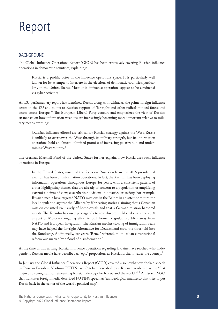## <span id="page-6-0"></span>Report

#### BACKGROUND

The Global Influence Operations Report (GIOR) has been extensively covering Russian influence operations in democratic countries, explaining:

Russia is a prolific actor in the influence operations space. It is particularly well known for its attempts to interfere in the elections of democratic countries, particularly in the United States. Most of its influence operations appear to be conducted via cyber activities.<sup>1</sup>

An EU parliamentary report has identified Russia, along with China, as the prime foreign influence actors in the EU and points to Russian support of "far-right and other radical-minded forces and actors across Europe."2 The European Liberal Party concurs and emphasizes the view of Russian strategists on how information weapons are increasingly becoming more important relative to military means, warning:

[Russian influence efforts] are critical for Russia's strategy against the West. Russia is unlikely to overpower the West through its military strength, but its information operations hold an almost unlimited promise of increasing polarization and undermining Western unity.<sup>3</sup>

The German Marshall Fund of the United States further explains how Russia uses such influence operations in Europe:

In the United States, much of the focus on Russia's role in the 2016 presidential election has been on information operations. In fact, the Kremlin has been deploying information operations throughout Europe for years, with a consistent pattern of either highlighting themes that are already of concern to a population or amplifying extremist points of view, exacerbating divisions in a particular society. For example, Russian media have targeted NATO missions in the Baltics in an attempt to turn the local population against the Alliance by fabricating stories claiming that a Canadian mission consisted exclusively of homosexuals and that a German mission harbored rapists. The Kremlin has used propaganda to sow discord in Macedonia since 2008 as part of Moscow's ongoing effort to pull former Yugoslav republics away from NATO and European integration. The Russian media's stoking of immigration fears may have helped the far-right Alternative for Deutschland cross the threshold into the Bundestag. Additionally, last year's "Renzi" referendum on Italian constitutional reform was marred by a flood of disinformation.<sup>4</sup>

At the time of this writing, Russian influence operations regarding Ukraine have reached what independent Russian media have described as "epic" proportions as Russia further invades the country.<sup>5</sup>

In January, the Global Influence Operations Report (GIOR) covered a somewhat overlooked speech by Russian President Vladimir PUTIN last October, described by a Russian academic as the "first major and strong call for reinventing Russian ideology for Russia and the world."<sup>6</sup> <sup>7</sup> An Israeli NGO that translates foreign media described PUTIN's speech as "an ideological manifesto that tries to put Russia back in the center of the world's political map":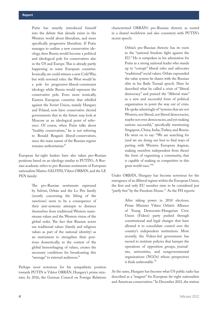Putin has smartly introduced himself into the debate that already exists in the Western world about liberalism, and more specifically progressive liberalism. If Putin manages to outline a new conservative ideology, then Russia would become a political and ideological pole for conservatives also in the US and Europe. This is already partly happening in some European countries. Ironically, we could witness a new Cold War, but with reversed roles: the West would be a pole for progressive-liberal-communist ideology while Russia would represent the conservative pole. Even more ironically, Eastern European countries that rebelled against the Soviet Union, mainly Hungary and Poland, now have conservative elected governments that in the future may look at Moscow as an ideological point of reference. Of course, when Putin talks about "healthy conservatism," he is not referring to Ronald Reagan's liberal-conservatism, since the main nature of the Russian regime remains authoritarian.<sup>8</sup>

European far-right leaders have also taken pro-Russian positions based on an ideology similar to PUTIN's. A Russian academic refers to pro-Russian sentiments of European nationalists Matteo SALVINI, Viktor ORBÁN, and the LE PEN family:

> The pro-Russian sentiments expressed by Salvini, Orbán and the Le Pen family (mostly concerning the lifting of the sanctions) seem to be a consequence of their anti-systemic attempts to distance themselves from traditional Western mainstream values and the Western vision of the global order. The fact that Russian actors use traditional values (family and religious values as part of the national identity) as an instrument to strengthen their positions domestically, in the context of the global hemorrhaging of values, creates the necessary conditions for broadcasting this "message" to external audiences.<sup>9</sup>

Perhaps most notorious for his sympathetic position towards PUTIN is Viktor ORBÁN, Hungary's prime minister. In 2016, the German Council on Foreign Relations characterized ORBÁN's pro-Russian rhetoric as rooted in a shared worldview and also consistent with PUTIN's recent speech:

> Orbán's pro-Russian rhetoric has its roots in the "national freedom fight against the EU." He is outspoken in his admiration for Putin as a strong national leader who stands up to "corrupt" liberal rules and advocates "traditional" social values. Orbán expounded the value system he shares with the Russian elite in his Baile Tusnad speech. Here he described what he called a crisis of "liberal democracy" and praised the "illiberal state" as a new and successful form of political organization to point the way out of crisis. He spoke admiringly of "systems that are not Western, not liberal, not liberal democracies, maybe not even democracies, and yet making nations successful," specifically mentioning Singapore, China, India, Turkey, and Russia. He went on to say: "We are searching for (and we are doing our best to find ways of parting with Western European dogmas, making ourselves independent from them) the form of organizing a community, that is capable of making us competitive in this great world-race."<sup>10</sup>

Under ORBÁN, Hungary has become notorious for the emergence of an illiberal regime within the European Union, the first and only EU member state to be considered just "partly free" by the Freedom House.<sup>11</sup> As the FH reports:

> After taking power in 2010 elections, Prime Minister Viktor Orbán's Alliance of Young Democrats–Hungarian Civic Union (Fidesz) party pushed through constitutional and legal changes that have allowed it to consolidate control over the country's independent institutions. More recently, the Fidesz-led government has moved to institute policies that hamper the operations of opposition groups, journalists, universities, and nongovernmental organizations (NGOs) whose perspectives it finds unfavorable.<sup>12</sup>

At the same, Hungary has become what US public radio has described as a "magnet" for European far-right nationalists and American conservatives." In December 2021, the station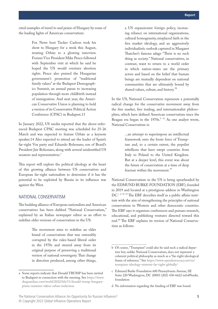<span id="page-8-0"></span>cited examples of travel to and praise of Hungary by some of the leading lights of American conservatism:

> Fox News host Tucker Carlson took his show to Hungary for a week this August, treating Orbán to a glowing interview. Former Vice President Mike Pence followed with September visit at which he said [h](https://urldefense.com/v3/__https:/www.independent.ie/world-news/mike-pence-says-he-is-hopeful-the-supreme-court-will-restrict-abortion-in-the-us-40881208.html__;!!Iwwt!HGB-Su3-T3pQjSIZ93qOJq6YCIKcuRHTnaF9HbSdZJ9aLRGQP3Nf2MKNgGfT$)e hoped the US would overturn abortion rights. Pence also praised the Hungarian government's promotion of "traditional family values" at the Budapest Demographics Summit, an annual paean to increasing population through more childbirth instead of immigration. And next year, the American Conservative Union is planning to hold a version of its Conservative Political Action Conference (CPAC) in Budapest.13

In January 2022, US media reported that the above-referenced Budapest CPAC meeting was scheduled for 25-26 March and was expected to feature Orbán as a keynote speaker.14 Also expected to attend are the leader of Spain's far-right Vox party and Eduardo Bolsonaro, son of Brazil's President Jair Bolsonaro, along with several unidentified US senators and representatives.<sup>a</sup>

This report will explore the political ideology at the heart of this growing alliance between US conservatives and European far-right nationalists to determine if it has the potential to be exploited by Russia in its influence war against the West.

#### NATIONAL CONSERVATISM

The budding alliance of European nationalists and American conservatives has been dubbed "National Conservatism," explained by an Italian newspaper editor as an effort to redefine older versions of conservatism in the US:

> The movement aims to redefine an older brand of conservatism that was ostensibly corrupted by the rules-based liberal order in the 1970s and steered away from its original purpose of preserving a traditional version of national sovereignty. That change in direction produced, among other things,

a US expansionist foreign policy, increasing reliance on international organizations, cultural homogeneity, misplaced faith in the free market ideology, and an aggressively individualistic outlook captured in Margaret Thatcher's famous adage "There is no such thing as society." National conservatives, in contrast, want to return to a world order in which nation-states are the primary actors and based on the belief that human beings are mutually dependent on national communities that are ultimately bound by shared values, culture, and history.<sup>15</sup>

In the US, National Conservatism represents a potentially radical change for the conservative movement away from the free market, free trading, and internationalist philosophies, which have defined American conservatism since the Reagan era began in the  $1970s<sup>b 16</sup>$  As one analyst wrote, National Conservatism is:

> ...an attempt to superimpose an intellectual framework onto the brute force of Trumpism and, to a certain extent, the populist rebellions that have swept countries from Italy to Poland to the United Kingdom. But at a deeper level, this event was about the future of conservatism at a time of deep fracture within the movement.<sup>17</sup>

National Conservatism in the US is being spearheaded by the EDMUND BURKE FOUNDATION (EBF), founded in 2019 and located at a prestigious address in Washington  $DC<sup>c d 18 19</sup> The EBF describes itself as a public affairs insti$ tute with the aim of strengthening the principles of national conservatism in Western and other democratic countries. The EBF says it organizes conferences and pursues research, educational, and publishing ventures directed toward this end.<sup>20</sup> The EBF explains its version of National Conservatism as follows:

a Some reports indicate that Donald TRUMP has been invited to Budapest in connection with the meeting. See [https://www.](https://www.theguardian.com/world/2022/feb/11/donald-trump-hungary-prime-minister-viktor-orban-reelection) [theguardian.com/world/2022/feb/11/donald-trump-hungary](https://www.theguardian.com/world/2022/feb/11/donald-trump-hungary-prime-minister-viktor-orban-reelection)[prime-minister-viktor-orban-reelection](https://www.theguardian.com/world/2022/feb/11/donald-trump-hungary-prime-minister-viktor-orban-reelection) 

b Of course, "Trumpism" could also be said such a radical departure but, unlike National Conservatism, does not represent a coherent political philosophy as much as a "far-right ideological frame of reference." See [https://www.opendemocracy.net/en/](https://www.opendemocracy.net/en/trumpism-ideology-extreme-far-right-globally/) [trumpism-ideology-extreme-far-right-globally/](https://www.opendemocracy.net/en/trumpism-ideology-extreme-far-right-globally/)

c Edmund Burke Foundation 600 Pennsylvania Avenue, SE Suite 220 Washington, DC 20003 (202) 430-6622 info@burke. foundation

d No information regarding the funding of EBF was found.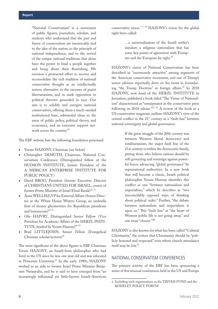<span id="page-9-0"></span>"National Conservatism" is a movement of public figures, journalists, scholars, and students who understand that the past and future of conservatism are inextricably tied to the idea of the nation, to the principle of national independence, and to the revival of the unique national traditions that alone have the power to bind a people together and bring about their flourishing. We envision a protracted effort to recover and reconsolidate the rich tradition of national conservative thought as an intellectually serious alternative to the excesses of purist libertarianism, and in stark opposition to political theories grounded in race. Our aim is to solidify and energize national conservatives, offering them a much-needed institutional base, substantial ideas in the areas of public policy, political theory, and economics, and an extensive support network across the country.<sup>21</sup>

The EBF website lists the following foundation personnel:

- ♦ Yoram HAZONY, Chairman (see below)
- Christopher DEMUTH, Chairman, National Conservatism Conference (Distinguished fellow at the HUDSON INSTITUTE, former President of the A MERICAN ENTERPRISE INSTITUTE FOR PUBLIC POLICY)
- David BROG, President (former Executive Director of CHRISTIANS UNITED FOR ISRAEL, cousin of former Prime Minister of Israel Ehud Barak)<sup>22 23</sup>
- ♦ Anna WELLISZ, VP for External Affairs (Senior Director at the White House Writers Group, an umbrella firm of former ghostwriters for Republican presidents and bureaucrats) $^{24}$   $^{25}$
- ♦ Ofir HAIVRY, Distinguished Senior Fellow (Vice President for Academic Affairs of the HERZL INSTI-TUTE, headed by Yoram Hazony)<sup>26</sup><sup>27</sup>
- ♦ Brad LITTLEJOHN, Senior Fellow (Evangelical Christian scholar/activist)<sup>28</sup>

The most significant of the above figures is EBF Chairman Yoram HAZONY, an Israeli-born philosopher who had lived in the US since he was one year old and was educated at Princeton University.<sup>29</sup> In the early 1990s, HAZONY worked as an aide to former Israel Prime Minister Benjamin Netanyahu, and he is said to have emerged from "an increasingly influential yet little-known Israeli-American

conservative nexus." <sup>a</sup> 30 HAZONY's vision for the global right been called:

> …a universalization of the Israeli settler's mindset: a religious nationalism that has some key points of agreement with Trumpists and the European far right.<sup>31</sup>

HAZONY's vision of National Conservatism has been described as "enormously attractive" among segments of the American conservative movement, and one of Trump's senior advisers reportedly drew on his views in formulating "the Trump Doctrine" in foreign affairs.<sup>32</sup> In 2018 HAZONY, now head of the HERZL INSTITUTE in Jerusalem, published a book titled "The Virtue of Nationalism" characterized as "omnipresent in the conservative press following its 2018 release."33 34 A review of the book in a US conservative magazine outlines HAZONY's view of the central conflict in the  $21<sup>st</sup>$  century as a "fault-line" between national sovereignty and global governance:

> If the great struggle of the 20th century was between Western liberal democracy and totalitarianism, the major fault line of the 21st century is within the democratic family, pitting those who believe nations should be self-governing and sovereign against powerful forces advancing "global governance" by supranational authorities. In a new book that will become a classic, Israeli political philosopher Yoram Hazony identifies this conflict as one "between nationalism and imperialism," which he describes as "two irreconcilably opposed ways of thinking about political order." Further, "the debate between nationalism and imperialism is upon us." This "fault line" at "the heart of Western public life is not going away," and one must "choose."<sup>35</sup>

HAZONY is also known for what has been called "Cultural Christianity," the notion that Christianity should be "publicly honored and respected" even where church attendance itself may be low.<sup>36</sup>

#### NATIONAL CONSERVATISM CONFERENCES

The primary activity of the EBF has been sponsoring a series of five unusual conferences held in the US and Europe

a Including such organizations as the TIKVAH FUND and the KOHELET POLICY FORUM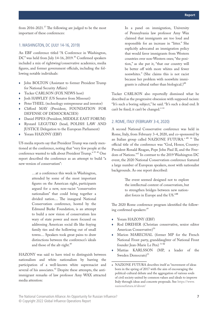from  $2016 - 2021$ .<sup>37</sup> The following are judged to be the most important of these conferences:

#### 1. WASHINGTON, DC (JULY 14-16, 2019)

An EBF conference titled "A Conference in Washington, DC" was held from July 14-16, 2019.<sup>38</sup> Confirmed speakers included a mix of rightwing/conservative academics, media figures, and former government officials, including the following notable individuals:

- ♦ John BOLTON (Assistant to former President Trump for National Security Affairs)
- Tucker CARLSON (FOX NEWS host)
- Josh HAWLEY (US Senator from Missouri)
- Peter THIEL (technology entrepreneur and investor)
- ♦ Clifford MAY (President, FOUNDATION FOR DEFENSE OF DEMOCRACIES)
- Daniel PIPES (President, MIDDLE EAST FORUM)
- Ryszard LEGUTKO (head, POLISH LAW AND JUSTICE Delegation to the European Parliament)
- ♦ Yoram HAZONY (EBF)

US media reports say that President Trump was rarely mentioned at the conference, noting that "very few people at the conference wanted to talk about President Trump." 39 40 One report described the conference as an attempt to build "a new version of conservatism":

> …at a conference this week in Washington, attended by some of the most important figures on the American right, participants argued for a new, non-racist "conservative nationalism" that could bring together a divided nation.... The inaugural National Conservatism conference, hosted by the Edmund Burke Foundation, is an attempt to build a new vision of conservatism less wary of state power and more focused on addressing American social ills like fraying family ties and the hollowing out of small towns.... Speakers took great pains to draw distinctions between the conference's ideals and those of the alt-right.<sup>41</sup>

HAZONY was said to have tried to distinguish between nationalism and white nationalism by barring the participation of a well-known white supremacist and several of his associates.<sup>42</sup> Despite these attempts, the antiimmigrant remarks of law professor Amy WAX attracted media attention:

In a panel on immigration, University of Pennsylvania law professor Amy Wax claimed that immigrants are too loud and responsible for an increase in "litter." She explicitly advocated an immigration policy that would favor immigrants from Western countries over non-Western ones; "the position," as she put it, "that our country will be better off with more whites and fewer nonwhites." (She claims this is not racist because her problem with nonwhite immigrants is cultural rather than biological.)<sup>43</sup>

Tucker CARLSON also reportedly dismissed what he described as the progressive obsession with supposed racism: "It's such a boring subject," he said. "It's such a dead end. It can't be fixed; it can't be changed." 44

#### 2. ROME, ITALY (FEBRUARY 3-4, 2020)

A second National Conservative conference was held in Rome, Italy, from February 3-4, 2020, and co-sponsored by an Italian group called NAZIONE FUTURA.<sup>a 45</sup> 46 The official title of the conference was "God, Honor, Country: President Ronald Reagan, Pope John Paul II, and the Freedom of Nations."47 In contrast to the 2019 Washington DC event, the 2020 National Conservatism conference featured a large number of European speakers, most with nationalist backgrounds. As one report described:

> The event seemed designed not to explore the intellectual content of conservatism, but to strengthen bridges between new nationalist forces in Europe and the US."<sup>48</sup>

The 2020 Rome conference program identified the following confirmed speakers:<sup>49</sup>

- Yoram HAZONY (EBF)
- ♦ Rod DREHER (Christian conservative, senior editor American Conservative)<sup>50</sup>
- Marion MARECHAL (former MP for the French National Front party, granddaughter of National Front founder Jean-Marie Le Pen)<sup>5152</sup>
- Mattias KARLSSON (MP, a leader of the Sweden Democrats)<sup>53</sup>

a NAZIONE FUTURA describes itself as "movement of ideas born in the spring of 2017 with the aim of encouraging the political-cultural debate and the aggregation of various souls of civil society united by common values and ideals to improve Italy through ideas and concrete proposals. See [https://www.](https://www.nazionefutura.it/about/) [nazionefutura.it/about/](https://www.nazionefutura.it/about/)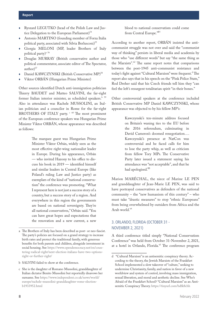- Ryszard LEGUTKO (head of the Polish Law and Justice Delegation to the European Parliament) $54$
- Antonio MARTINO (founding member of Forza Italia political party, associated with Silvia Berlusconi)<sup>55</sup>
- Giorgia MELONI (MP, leader Brothers of Italy political party)a <sup>56</sup>
- ♦ Douglas MURRAY (British conservative author and political commentator, associate editor of The Spectator, author $)^{57}$
- Daniel KAWCZYNSKI (British Conservative MP)<sup>58</sup>
- Viktor ORBÁN (Hungarian Prime Minister)

Other sources identified Dutch anti-immigration politician Thierry BAUDET and Matteo SALVINI, the far-right former Italian interior minister, as scheduled speakers.<sup>b 59</sup> Also in attendance was Rachele MUSSOLINI, an Italian politician and a councilor in Rome for the far-right BROTHERS OF ITALY party.  $\cdot$  <sup>60</sup> The most prominent of the European conference speakers was Hungarian Prime Minister Viktor ORBÁN, whose appearance was described as follows:

> The marquee guest was Hungarian Prime Minister Viktor Orbán, widely seen as the most effective right-wing nationalist leader in Europe. During his appearance, Orbán — who invited Hazony to his office to discuss his book in 2019 — identified himself and similar leaders in Central Europe (like Poland's ruling Law and Justice party) as exemplars of the kind of "national conservatism" the conference was promoting. "What I represent here is not just a success story of a country, but a success story of a region. And everywhere in this region the governments are based on national sovereignty. They're all national conservatives," Orbán said. "You can have great hopes and expectations that the renovation and a new current, a new

b SALVINI failed to show at the conference.

According to another report, ORBÁN insisted the anticommunist struggle was not over and said the "communist way of thinking" persists in liberal media and academia by those who "use different words" but say "the same thing as the Marxists".<sup>62</sup> The same report notes that comparisons between the post-1945 anti-communist resistance and today's fight against "Cultural Marxism" were frequent.<sup>a</sup> The report also says that in his speech on the "Pink Police State," Rod Dreher said that his Czech friends tell him they "can feel the left's resurgent totalitarian spirit "in their bones."

Other controversial speakers at the conference included British Conservative MP Daniel KAWCZYNSKI, whose appearance was objected to by his fellow MP's:

> Kawczynski's ten-minute address focused on Britain's waning ties to the EU before the 2016 referendum, culminating in David Cameron's doomed renegotiation…. Kawczynski's presence at NatCon was controversial and he faced calls for him to lose the party whip, as well as criticism from fellow Tory MPs. The Conservative Party later issued a statement saying his attendance was "not acceptable", and that he had apologised.<sup>63</sup>

Marion MARÉCHAL, the niece of Marine LE PEN and granddaughter of Jean-Marie LE PEN, was said to have portrayed conservatives as defenders of the national community – the "new humanism of this century" – who must take "drastic measures" to stop "ethnic Europeans" from being overwhelmed by outsiders from Africa and the Arab world.<sup>64</sup>

#### 3. ORLANDO, FLORIDA (OCTOBER 31 - NOVEMBER 2, 2021)

A third conference titled simply "National Conservatism Conference" was held from October 31-November 2, 2021, at a hotel in Orlando, Florida.<sup>65</sup> The conference program

a The Brothers of Italy has been described as post- or neo-fascist. The party's policies are focused on a grand strategy to increase birth rates and protect the traditional family, with generous benefits for both parents and children, alongside investment in social housing. See [https://www.opendemocracy.net/en/coun](https://www.opendemocracy.net/en/countering-radical-right/next-election-italians-have-two-options-right-or-further-right/)[tering-radical-right/next-election-italians-have-two-options](https://www.opendemocracy.net/en/countering-radical-right/next-election-italians-have-two-options-right-or-further-right/)[right-or-further-right/](https://www.opendemocracy.net/en/countering-radical-right/next-election-italians-have-two-options-right-or-further-right/)

c She is the daughter of Romano Mussolini, granddaughter of Italian dictator Benito Mussolini but reportedly disavows her surname. See [https://www.independent.co.uk/news/world/](https://www.independent.co.uk/news/world/europe/rachele-mussolini-granddaughter-rome-election-b1933952.html) [europe/rachele-mussolini-granddaughter-rome-election](https://www.independent.co.uk/news/world/europe/rachele-mussolini-granddaughter-rome-election-b1933952.html)[b1933952.html](https://www.independent.co.uk/news/world/europe/rachele-mussolini-granddaughter-rome-election-b1933952.html)

d "Cultural Marxism" is an antisemitic conspiracy theory. According to the theory, the Jewish Marxists of the Frankfurt School implemented a slow takeover of "culture," seeking to undermine Christianity, family, and nation in favor of a new worldview and system of control, involving mass immigration, sexual liberation, and moral and aesthetic decline. See Who's Afraid of the Frankfurt School? "Cultural Marxism" as an Antisemitic Conspiracy Theory.<https://tinyurl.com/bdfk8chh>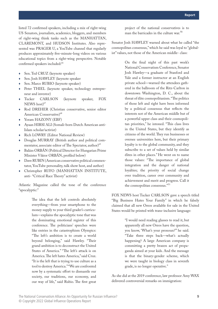listed 72 confirmed speakers, including a mix of right-wing US Senators, journalists, academics, bloggers, and members of right-wing think tanks such as the MANHATTAN, CLAREMONT, and HUDSON Institutes. Also represented was PRAGER U, a YouTube channel that regularly produces approximately five-minute-long videos on various educational topics from a right-wing perspective. Notable confirmed speakers included:<sup>66</sup>

- Sen. Ted CRUZ (keynote speaker)
- Sen. Josh HAWLEY (keynote speaker
- Sen. Marco RUBIO (keynote speaker)
- Peter THIEL (keynote speaker, technology entrepreneur and investor)
- Tucker CARLSON (keynote speaker, FOX NEWS host)<sup>67</sup>
- ♦ Rod DREHER (Christian conservative, senior editor American Conservative)<sup>68</sup>
- Yoram HAZONY (EBF)
- Ayaan HIRSI ALI (Somali-born Dutch American anti-Islam scholar/activist)
- Rich LOWRY (Editor National Review)
- Douglas MURRAY (British author and political commentator, associate editor of The Spectator, author)<sup>69</sup>
- ♦ Balázs ORBÁN (Political Director for Hungarian Prime Minister Viktor ORBÁN, profiled below)
- ♦ Dave RUBIN (American conservative political commentator, YouTube personality, talk show host, and author)
- ♦ Christopher RUFO (MANHATTAN INSTITUTE, anti- "Critical Race Theory" activist)

Atlantic Magazine called the tone of the conference "apocalyptic:"

> The idea that the left controls absolutely everything—from your smartphone to the money supply to your third grader's curriculum—explains the apocalyptic tone that was the dominating emotional register of this conference. The politicians' speeches were like entries in the catastrophism Olympics: "The left's ambition is to create a world beyond belonging," said Hawley. "Their grand ambition is to deconstruct the United States of America." "The left's attack is on America. The left hates America," said Cruz. "It is the left that is trying to use culture as a tool to destroy America." "We are confronted now by a systematic effort to dismantle our society, our traditions, our economy, and our way of life," said Rubio. The first great

project of the national conservatives is to man the barricades in the culture war.<sup>70</sup>

Senator Josh HAWLEY warned about what he called "the cosmopolitan consensus," which he said was loyal to "globalist" values, not those of the American middle- class:

> On the final night of this past week's National Conservatism Conference, Senator Josh Hawley—a graduate of Stanford and Yale and a former instructor at an English private school—warned the attendees gathered in the ballroom of the Ritz-Carlton in downtown Washington, D. C., about the threat of élite cosmopolitanism. "The politics of those left and right have been informed by a political consensus that reflects the interests not of the American middle but of a powerful upper class and their cosmopolitan priorities," he intoned. "This class lives in the United States, but they identify as citizens of the world. They run businesses or oversee universities here, but their primary loyalty is to the global community, and they subscribe to a set of values held by similar élites in other places." He went on to name those values: "The importance of global integration and the danger of national loyalties; the priority of social change over tradition, career over community and achievement and merit and progress. Call it the cosmopolitan consensus."<sup>71</sup>

FOX NEWS host Tucker CARLSON gave a speech titled "Big Business Hates Your Family" in which he falsely claimed that all new Oreos available for sale in the United States would be printed with trans-inclusive language:

> "I would need reading glasses to read it, but apparently all new Oreos have the question, you know, 'What's your pronoun?'" he said. "Take three steps back—what's actually happening? A large American company is committing a pretty brazen act of propaganda aimed at your kids. And the message is that the binary-gender scheme, which we were taught in biology class in seventh grade, is no longer operative."

As she did at the 2019 conference, law professor Amy WAX delivered controversial remarks on immigration: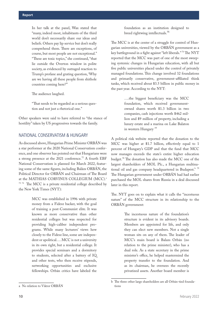<span id="page-13-0"></span>In her talk at the panel, Wax stated that "many, indeed most, inhabitants of the third world don't necessarily share our ideas and beliefs. Others pay lip service but don't really comprehend them. There are exceptions, of course, but most people are not exceptional." "These are toxic topics," she continued, "that lie outside the Overton window in polite society, as evidenced by outraged reaction to Trump's profane and grating question, 'Why are we having all these people from shithole countries coming here?'"

The audience laughed.

"That needs to be regarded as a serious question and not just a rhetorical one."

Other speakers were said to have referred to "the stance of hostility" taken by US progressives towards the family.

#### NATIONAL CONSERVATISM & HUNGARY

As discussed above, Hungarian Prime Minister ORBÁN was a star performer at the 2020 National Conservatism conference, and one observer has pointed out that Hungarians were a strong presence at the 2021 conference.<sup>72</sup> A fourth EBF National Conservatism is planned for March 2022, featuring some of the same figures, including Balázs ORBÁN, the Political Director for ORBÁN and Chairman of The Board at the MATHIAS CORVINUS COLLEGIUM (MCC).<sup>a</sup> <sup>73 74</sup> The MCC is a private residential college described by the New York Times (NYT):

> MCC was established in 1996 with private money from a Fidesz backer, with the goal of training a post-Communist elite. It was known as more conservative than other residential colleges but was respected for providing high-caliber independent programs. While many lecturers' views hew closely to the Fidesz line, some are independent or apolitical…. MCC is not a university in its own right, but a residential college. It provides special seminars and a dormitory to students, selected after a battery of IQ and other tests, who then receive stipends, networking opportunities and exclusive fellowships. Orbán critics have labeled the

foundation as an institution designed to breed rightwing intellectuals.<sup>75</sup>

The MCC is at the center of a struggle for control of Hungarian universities, viewed by the ORBÁN government as a key battleground in a fight against "left liberals." 76 The NYT reported that the MCC was part of one of the most sweeping systemic changes in Hungarian education, with all but five public universities placed under the control of privately managed foundations. This change involved 32 foundations and primarily conservative, government-affiliated think tanks, which received about \$3.5 billion in public money in the past year. According to the NYT:

> ….the biggest beneficiary was the MCC foundation, which received governmentowned shares worth \$1.3 billion in two companies, cash injections worth \$462 million and \$9 million of property, including a luxury estate and a marina on Lake Balaton in western Hungary<sup>77</sup>

A political risk website reported that the donation to the MCC was higher at \$1.7 billion, effectively equal to 1 percent of Hungary's GDP and that the fund that MCC now manages exceeds the state's entire higher education budget.78 The donation has also made the MCC one of the largest shareholders of MOL Plc., a Hungarian multinational oil and gas company headquartered in Budapest.<sup>b 79</sup> The Hungarian government under ORBÁN had had earlier purchased the MOL shares from Russia in a deal discussed later in this report.

The. NYT goes on to explain what it calls the "incestuous nature" of the MCC structure in its relationship to the ORBÁN government:

> The incestuous nature of the foundation's structure is evident in its advisory boards. Members are appointed for life, and only they can elect new members. Not a single woman sits on any of them. The leader of MCC's main board is Balazs Orbán (no relation to the prime minister), who has a dual role. As a state secretary in the prime minister's office, he helped mastermind the property transfer to the foundation. And as its chairman, he oversees the recently privatized assets. Another board member is

a No relation to Viktor ORBÁN

b The three other large shareholders are all Orbán-tied foundations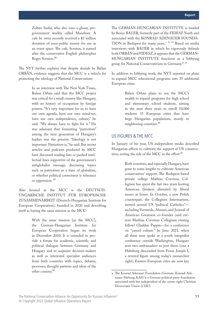<span id="page-14-0"></span>Zoltan Szalai, who also runs a glossy, progovernment weekly called Mandiner. A cafe he owns recently received a \$2 million donation of once-public money for use as an event space. The cafe, Scruton, is named after the conservative English philosopher Roger Scruton.<sup>80</sup>

The NYT further explains that despite denials by Balázs ORBÁN, evidence suggests that the MCC is a vehicle for promoting the ideology of National Conservatism:

> In an interview with The New York Times, Balazs Orbán said that the MCC project was critical for a small country like Hungary, with its history of occupation by foreign powers. "It's very important for us to have our own agenda, have our own mind-set, have our own independence, culture," he said. "We always have to fight for it." He was adamant that fomenting "patriotism" among the next generation of Hungary's leaders was the priority. "Ideology is not important. Patriotism is," he said. But recent articles and podcasts produced by MCC have discussed reading lists or pushed intellectual lines supportive of the government's antiglobalist message, discussing topics such as patriotism at a time of globalism, or whether political correctness is tolerance or oppression.<sup>81</sup>

Also housed at the MCC is the DEUTSCH-UNGARISCHE INSTITUT FÜR EUROPÄISCHE ZUSAMMENARBEIT (Deutsch-Hungarian Institute for European Cooperation), founded in 2020 and describing itself as having the same mission as the MCC:

> With the same mission [as the MCC], the German-Hungarian Institute for European Cooperation began its work in December 2020. It is intended to provide a forum for academic, scientific and political dialogue between Germany and Hungary and to acquaint decision-makers as well as interested specialist audiences from both countries with topics, debates, processes, thought patterns and ideas of the other country.<sup>82</sup>

The GERMAN-HUNGARIAN INSTITUTE is headed by Bence BAUER, formerly part of the FIDESZ Youth and associated with the KONRAD ADENAUER FOUNDA-TION in Budapest for many years.<sup>a 83 84</sup> Based on media interviews with BAUER in which he vigorously defends both ORBÁN and FIDESZ, it appears that the GERMAN-HUNGARIAN INSTITUTE functions as a lobbying group for National Conservativism in Germany.<sup>85 86</sup>

In addition to lobbying work, the NYT reported on plans to expand MCC educational programs into 35 additional European cities:

> Balazs Orbán plans to use the MCC's wealth to expand programs for high school and elementary school students, aiming in the next three years to enroll 10,000 students 35 European cities that have large Hungarian populations, mostly in neighboring countries.<sup>87</sup>

#### US FIGURES & THE MCC

In January of his year, US independent media described Hungarian efforts to cultivate the support of US conservatives, noting the role of the MCC in the effort:<sup>88</sup>

> Both countries, and especially Hungary, have gone to some lengths to cultivate American conservatives' support. The Budapest-based private college Mathias Corvinus Collegium has spent the last two years hosting American thinkers alienated by liberal mores at home. In October, a new Polish counterpart, the Collegium Intermarium, invited several US "political Catholics" including Vermeule, Ahmari, and Journal of American Greatness co-founder (and current Mathias Corvinus Collegium visiting fellow) Gladden Pappin—for a conference on "cancel culture." In June 2021, when all three men spoke at a youth integralist conference outside Washington, Hungary sent two ambassadors to join them (one a Habsburg descended from Franz Joseph I, a revered figure among today's monarchist right). Eastern European cities are now key

a The Konrad Adenauer Foundation (German: Konrad-Adenauer-Stiftung, KAS) is a German political party foundation associated with but independent of the centre-right Christian Democratic Union (CDU).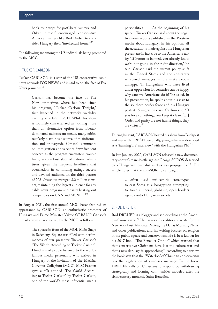book-tour stops for postliberal writers, and Orbán himself encouraged conservative American writers like Rod Dreher to consider Hungary their "intellectual home."<sup>89</sup>

The following are among the US individuals being promoted by the MCC:

#### 1. TUCKER CARLSON

Tucker CARLSON is a star of the US conservative cable news network FOX NEWS and is said to be "the face of Fox News primetime":

> Carlson has become the face of Fox News primetime, where he's been since his program, "Tucker Carlson Tonight," first launched in the network's weekday evening schedule in 2017. While his show is routinely characterized as nothing more than an alternative option from liberaldominated mainstream media, many critics regularly blast it as a source of misinformation and propaganda. Carlson's comments on immigration and vaccines draw frequent concern as the program encounters trouble lining up a robust slate of national advertisers, given the frequent headlines that overshadow its continuing ratings success and devoted audience. In the third quarter of 2021, his show averaged 3.2 million viewers, maintaining the largest audience for any cable-news program and easily beating out competitors on CNN and MSNBC.<sup>90</sup>

In August 2021, the first annual MCC Feszt featured an appearance by CARLSON, an enthusiastic promoter of Hungary and Prime Minister Viktor ORBÁN.<sup>91</sup> Carlson's remarks were characterized by the MCC as follows:

> The square in front of the MOL Main Stage in Széchenyi Square was filled with performances of star presenter Tucker Carlson's "The World According to Tucker Carlson". Hundreds of people listened to the worldfamous media personality who arrived in Hungary at the invitation of the Mathias Corvinus Collegium (MCC). McC Feszten gave a talk entitled "The World According to Tucker Carlson" by Tucker Carlson, one of the world's most influential media

personalities. ….. At the beginning of his speech, Tucker Carlson said about the negative news reports published in the Western media about Hungary: in his opinion, all the accusations made against the Hungarian present are in fact true to the American reality. "If humor is banned, you already know we're not going in the right direction," he said. Carlson said the current policy shift in the United States and the constantly whispered messages simply make people unhappy. "If Hungarians who have lived under oppression for centuries can be happy, why can't we Americans do it?" he asked. In his presentation, he spoke about his visit to the southern border fence and his Hungary post-2015 migration crisis. Carlson said, "If you love something, you keep it clean. [....] Order and purity are not fascist things, they are virtues."<sup>92</sup>

During his visit, CARLSON hosted his show from Budapest and met with ORBÁN personally, giving what was described as a "fawning TV interview" with the Hungarian PM.<sup>93</sup>

In late January 2022, CARLSON released a new documentary about Orbán's battle against George SOROS, described by a Hungarian journalist as "baseless propaganda." 94 The article notes that the anti-SOROS campaign:

> …..often used anti-semitic stereotypes to cast Soros as a boogeyman attempting to force a liberal, globalist, open-borders agenda onto Hungarian society.

#### 2. ROD DREHER

Rod DREHER is a blogger and senior editor at the American Conservative.<sup>95</sup> He has served as editor and writer for the New York Post, National Review, the Dallas Morning News, and other publications, and his writing focuses on religion in the public square and conservatism. He is best known for his 2017 book "The Benedict Option" which warned that that conservative Christians have lost the culture war and that a new dark age is approaching.<sup>96</sup> According to a review, the book says that the "Waterloo" of Christian conservatism was the legalization of same-sex marriage. In the book, DREHER calls on Christians to respond by withdrawing strategically and forming communities modeled after the sixth-century monastic Saint Benedict.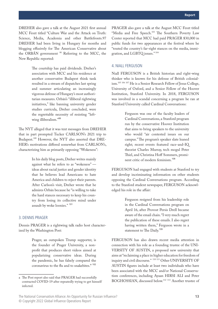DREHER also gave a talk at the August 2021 first annual MCC Feszt titled "Culture War and the Attack on Truth: Science, Media, Academia and other Battlefronts.97 DREHER had been living in Hungary for months and blogging effusively for The American Conservative about the ORBÁN government <sup>98</sup> Referring to the MCC, the New Republic reported:

> The courtship has paid dividends. Dreher's association with MCC and his residence at another conservative Budapest think tank resulted in a stream of dispatches last spring and summer articulating an increasingly vigorous defense of Hungary's most authoritarian measures. Orbán's "illiberal rightwing initiatives," like banning university gender studies curricula, Dreher concluded, were the regrettable necessity of resisting "leftwing illiberalism."<sup>99</sup>

The NYT alleged that it was text messages from DREHER that in part prompted Tucker CARLSON's 2021 trip to Budapest.<sup>100</sup> However, the NYT also asserted that DRE-HER's motivations differed somewhat from CARLSON's, characterizing him as primarily opposing "Wokeness":

> In his daily blog posts, Dreher writes mainly against what he refers to as "wokeness" ideas about racial justice and gender identity that he believes lead Americans to hate America and children to reject their parents. After Carlson's visit, Dreher wrote that he admires Orbán because he "is willing to take the hard stances necessary to keep his country from losing its collective mind under assault by woke loonies." <sup>101</sup>

#### 3. DENNIS PRAGER

Dennis PRAGER is a rightwing talk radio host characterized by the Washington Post:

> Prager, an outspoken Trump supporter, is the founder of Prager University, a nonprofit that produces short videos aimed at popularizing conservative ideas. During the pandemic, he has falsely compared the coronavirus to the flu and to snakebites.<sup>a 102</sup>

PRAGER also gave a talk at the August MCC Feszt titled "Media and Free Speech.<sup>103</sup> The Southern Poverty Law Center reported that MCC had paid PRAGER \$30,000 in public funds for two appearances at the festival where he "touted the country's far-right stances on the media, immigration, and LGBTQ issues." <sup>104</sup>

#### 4. NIALL FERGUSON

Niall FERGUSON is a British historian and right-wing thinker who is known for his defense of British colonialism.<sup>105 106 107</sup> He is a Senior Research Fellow of Jesus College, University of Oxford, and a Senior Fellow of the Hoover Institution, Stanford University. In 2018, FERGUSON was involved in a scandal concerning a program he ran at Stanford University called Cardinal Conversations:

> Ferguson was one of the faculty leaders of Cardinal Conversations, a Stanford program run by the conservative Hoover Institution that aims to bring speakers to the university who would "air contested issues on our campus." The program's speaker slate leaned right; recent events featured race-and-IQ theorist Charles Murray, tech mogul Peter Thiel, and Christina Hoff Sommers, prominent critic of modern feminism.<sup>108</sup>

FERGUSON had engaged with students at Stanford to try and develop incriminating information on other students opposing the Cardinal Conversations program. According to the Stanford student newspaper, FERGUSON acknowledged his role in the affair:

> Ferguson resigned from his leadership role in the Cardinal Conversations program on April 16, after Provost Persis Drell became aware of the email chain. "I very much regret the publication of these emails. I also regret having written them," Ferguson wrote in a statement to The Daily.<sup>109</sup>

FERGUSON has also drawn recent media attention in connection with his role as a founding trustee of the UNI-VERSITY OF AUSTIN, a proposed new university that aims at "reclaiming a place in higher education for freedom of inquiry and civil discourse." <sup>110</sup> 111 Other UNIVERSITY OF AUSTIN figures include at least two individuals who have been associated with the MCC and/or National Conservatism conferences, including Ayaan HIRSI ALI and Peter BOGHOSSIAN, discussed below.<sup>112</sup> 113 Another trustee of

a The Post report also said that PRAGER had successfully contracted COVID-19 after repeatedly trying to get himself infected.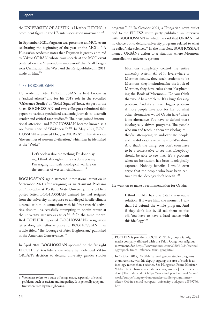the UNIVERSITY OF AUSTIN is Heather HEYING, a prominent figure in the US anti-vaccination movement.<sup>114</sup>

In September 2021, Ferguson was present at an MCC event celebrating the beginning of the year at the MCC.115 A Hungarian academic notes that Ferguson is greatly admired by Viktor ORBÁN, whose own speech at the MCC event centered on the "tremendous impression" that Niall Ferguson's Civilization: The West and the Rest, published in 2011, made on him.<sup>116</sup>

#### 4. PETER BOGHOSSIAN

US academic Peter BOGHOSSIAN is best known as a "radical atheist" and for his 2018 role in the so-called "Grievance Studies" or "Sokal Squared" hoax. As part of the hoax, BOGHOSSIAN and two colleagues submitted fake papers to various specialized academic journals to discredit gender and critical race studies.<sup>117</sup> The hoax gained international attention, and BOGHOSSIAN became known as a vociferous critic of "Wokeness."<sup>a</sup> 118 In May 2021, BOG-HOSSIAN referenced Douglas MURRAY in his attack on "the enemies of western civilization," which has he identified as the "Woke":

> Let's be clear about something. I'm done playing. I think @douglasmurray is done playing. I'm waging full scale ideological warfare on the enemies of western civilization.<sup>119</sup>

BOGHOSSIAN again attracted international attention in September 2021 after resigning as an Assistant Professor of Philosophy at Portland State University. In a publicly posted letter, BOGHOSSIAN claimed he had resigned from the university in response to an alleged hostile climate directed at him in connection with his "free speech" activities, despite unsuccessfully attempting to obtain tenure at the university just weeks earlier.<sup>120</sup> <sup>121</sup> In the same month, Rod DREHER reposted BOGHOSSIAN's resignation letter along with effusive praise for BOGHOSSIAN in an article titled "The Courage of Peter Boghossian," published in the American Conservative.<sup>122</sup>

In April 2021, BOGHOSSIAN appeared on the far-right EPOCH TV YouTube show where he defended Viktor ORBÁN's decision to defund university gender studies

program."b 123 In October 2021, a Hungarian news outlet tied to the FIDESZ youth party published an interview with BOGHOSSIAN in which he said that ORBÁN had no choice but to defund university programs related to what he called "fake sciences."<sup>c</sup> In the interview, BOGHOSSIAN likened ORBÁN's action to a situation where Mormons controlled the university system:

> Mormons completely control the entire university system. All of it. Everywhere is Mormon faculty, they teach students to be Mormons, they institutionalize the Book of Mormon, they have rules about blaspheming the Book of Mormon… Do you think that would be a problem? It's a huge freaking problem. And it's an even bigger problem if those people have jobs for life. So what other alternatives would Orbán have? There is no alternative. You have to defund these ideologically driven programs. The people who run and teach in them are ideologues they're attempting to indoctrinate people, and he did exactly what he should've done. And that's the thing: you don't even have to be a conservative to see that. Everybody should be able to see that. It's a problem when an institution has been ideologically captured. Nobody benefits. I would even argue that the people who have been captured by the ideology don't benefit.<sup>124</sup>

He went on to make a recommendation for Orbán:

I think Orbán has one totally reasonable solution. If I were him, the moment I saw that, I'd defund the whole program. And if they don't like it, I'd tell them to piss off. You have to have a hard stance with this ideology.<sup>125</sup>

a Wokeness refers to a state of being aware, especially of social problems such as racism and inequality. It is generally a pejorative when used by the rightwing.

b POCH TV is part the EPOCH MEDIA group, a far-right media company affiliated with the Falun Gong new religious movement. See [https://www.nytimes.com/2020/10/24/technol](https://www.nytimes.com/2020/10/24/technology/epoch-times-influence-falun-gong.html)[ogy/epoch-times-influence-falun-gong.html](https://www.nytimes.com/2020/10/24/technology/epoch-times-influence-falun-gong.html)

c In October 2018, ORBÁN banned gender studies programs at universities, with his deputy arguing the area of study is an ideology rather than a science. See Hungarian Prime Minister Viktor Orbán bans gender studies programmes | The Independent | The Independent [https://www.independent.co.uk/news/](https://www.independent.co.uk/news/world/europe/hungary-bans-gender-studies-programmes-viktor-orban-central-european-university-budapest-a8599796.html) [world/europe/hungary-bans-gender-studies-programmes](https://www.independent.co.uk/news/world/europe/hungary-bans-gender-studies-programmes-viktor-orban-central-european-university-budapest-a8599796.html)[viktor-Orbán-central-european-university-budapest-a8599796.](https://www.independent.co.uk/news/world/europe/hungary-bans-gender-studies-programmes-viktor-orban-central-european-university-budapest-a8599796.html) [html](https://www.independent.co.uk/news/world/europe/hungary-bans-gender-studies-programmes-viktor-orban-central-european-university-budapest-a8599796.html)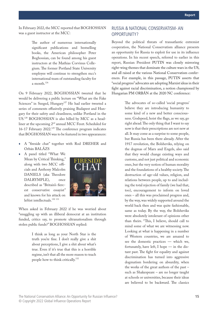<span id="page-18-0"></span>In February 2022, the MCC reported that BOGHOSSIAN was a guest instructor at the MCC:

> The author of numerous internationally significant publications and bestselling books, the American philosopher Peter Boghossian, can be found among his guest instructors at the Mathias Corvinus Collegium. The former Portland State University employee will continue to strengthen mcc's international team of outstanding faculty for a month.126

On 9 February 2022, BOGHOSSIAN tweeted that he would be delivering a public lecture on "What are the Fake Sciences" in Szeged, Hungary<sup>127</sup> He had earlier tweeted a series of comments effusively praising Budapest and Hungary for their safety and cleanliness, unlike Portland in the US.128 BOGHOSSIAN is also billed by MCC as a headliner at the upcoming 2nd annual MCC Feszt. Scheduled for 16-17 February 2022.<sup>129</sup> The conference program indicates that BOGHOSSIAN was to be featured in two appearances:

- A "fireside chat" together with Rod DREHER and Orbán BALÁZS
- ♦ A panel titled "What We Mean by Critical Thinking," along with two MCC officials and Anthony Malcolm DANIELS (aka Theodore DALRYMPLE), once described as "Britain's fiercest conservative essayist" and known for his attack on leftist intellectuals.<sup>130</sup><sup>131</sup>



When asked in February 2022 if he was worried about "snuggling up with an illiberal democrat at an institution funded, critics say, to promote ultranationalism through stolen public funds?" BOGHOSSIAN replied:

> I think as long as your North Star is the truth you're fine. I don't really give a shit about perceptions, I give a shit about what's true. Even if it's true that this is a horrible regime, isn't that all the more reason to teach people how to think critically.<sup>132</sup>

#### RUSSIA & NATIONAL CONSERVATISM- AN OPPORTUNITY?

Beyond the political threats of transatlantic extremist cooperation, the National Conservatism alliance presents an opportunity for Russia to exploit for use in its influence operations. In his recent speech, referred to earlier in this report, Russian President PUTIN was closely mirroring right-wing themes that dominate the culture wars in the US, and all raised at the various National Conservatism conferences. For example, in this passage, PUTIN asserts that "social progress" advocates are adopting Marxist ideas in their fight against racial discrimination, a notion championed by Hungarian PM ORBÁN at the 2020 NC conference:

> The advocates of so-called 'social progress' believe they are introducing humanity to some kind of a new and better consciousness. Godspeed, hoist the flags, as we say, go right ahead. The only thing that I want to say now is that their prescriptions are not new at all. It may come as a surprise to some people, but Russia has been there already. After the 1917 revolution, the Bolsheviks, relying on the dogmas of Marx and Engels, also said that they would change existing ways and customs, and not just political and economic ones, but the very notion of human morality and the foundations of a healthy society. The destruction of age-old values, religion, and relations between people, up to and including the total rejection of family (we had that, too), encouragement to inform on loved ones – all this was proclaimed progress and, by the way, was widely supported around the world back then and was quite fashionable, same as today. By the way, the Bolsheviks were absolutely intolerant of opinions other than theirs. "This, I believe, should call to mind some of what we are witnessing now. Looking at what is happening in a number of Western countries, we are amazed to see the domestic practices — which we, fortunately, have left, I hope — in the distant past. The fight for equality and against discrimination has turned into aggressive dogmatism bordering on absurdity, when the works of the great authors of the past – such as Shakespeare – are no longer taught at schools or universities, because their ideas are believed to be backward. The classics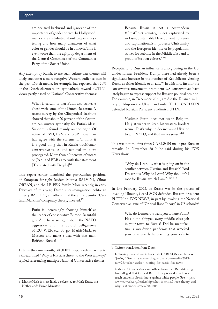are declared backward and ignorant of the importance of gender or race. In Hollywood, memos are distributed about proper storytelling and how many characters of what color or gender should be in a movie. This is even worse than the agitprop department of the Central Committee of the Communist Party of the Soviet Union.

Any attempt by Russia to use such culture war themes will likely encounter a more receptive Western audience than in the past. Dutch media, for example, has reported that 20% of the Dutch electorate are sympathetic toward PUTIN's views, partly based on National Conservative themes:

> What is certain is that Putin also strikes a chord with some of the Dutch electorate. A recent survey by the Clingendael Institute showed that about 20 percent of the electorate can muster sympathy for Putin's ideas. Support is found mainly on the right. Of voters of FVD, PVV and SGP, more than half agree with the statement, "I think it is a good thing that in Russia traditionalconservative values and national pride are propagated. More than 40 percent of voters on JA21 and BBB agree with that statement [Translated with DeepL]<sup>133</sup>

This report earlier identified the pro-Russian positions of European far-right leaders Matteo SALVINI, Viktor ORBÁN, and the LE PEN family. More recently, in early February of this year, Dutch anti-immigration politician Thierry BAUDET, an adherent of the anti- Semitic "Cultural Marxism" conspiracy theory, tweeted:<sup>134</sup>

> Putin is increasingly showing himself as the leader of conservative Europe. Beautiful guy. And he is so right about the NATO aggression and the absurd belligerence of EU, WEF, etc. So go, MarkieMark, to Moscow and make a deal with that man. Befriend Russia!<sup>a 135</sup>

Later in the same month, BAUDET responded on Twitter to a thread titled "Why is Russia a threat to the West anyway?" replied referencing multiple National Conservative themes:

Because Russia is not a postmodern #GreatReset country, is not captivated by wokism, Sustainable Development nonsense and supranationalism, protects Christianity and the European identity of its population, strives for stability in the Middle East and is proud of its own culture.<sup>b 136</sup>

Receptivity to Russian influence is also growing in the US. Under former President Trump, there had already been a significant increase in the number of Republicans viewing Russia as either friendly or an ally.137 In a historic first for the conservative movement, prominent US conservatives have lately begun to express support for Russian political position. For example, in December 2021, amidst the Russian military buildup on the Ukrainian border, Tucker CARLSON defended Russian President Vladimir PUTIN:

> Vladimir Putin does not want Belgium. He just wants to keep his western borders secure. That's why he doesn't want Ukraine to join NATO, and that makes sense."<sup>138</sup>

This was not the first time; CARLSON made pro-Russian remarks. In November 2019, he said during his FOX News show:

> "Why do I care … what is going on in the conflict between Ukraine and Russia?" "And I'm serious. Why do I care? Why shouldn't I root for Russia, which I am?"<sup>c 139</sup> <sup>140</sup>

In late February 2022, as Russia was in the process of invading Ukraine, CARLSON defended Russian President PUTIN on FOX NEWS, in part by invoking the National Conservative issue of "Critical Race Theory" in US schools:<sup>d</sup>

> Why do Democrats want you to hate Putin? Has Putin shipped every middle class job in your town to Russia? Did he manufacture a worldwide pandemic that wrecked your business? Is he teaching your kids to

a MarkieMark is most likely a reference to Mark Rutte, the Netherlands Prime Minister.

b Twitter translation from Dutch

c Following a social media backlash, CARLSON said he was "joking." See [https://www.theguardian.com/media/2019/](https://www.theguardian.com/media/2019/nov/26/tucker-carlson-rooting-for-russia-fox-news) [nov/26/tucker-carlson-rooting-for-russia-fox-news](https://www.theguardian.com/media/2019/nov/26/tucker-carlson-rooting-for-russia-fox-news)

d National Conservatives and others from the US right-wing have alleged that Critical Race Theory is used in schools to teach students discriminate against white people. See [https://](https://www.edweek.org/leadership/what-is-critical-race-theory-and-why-is-it-under-attack/2021/05) [www.edweek.org/leadership/what-is-critical-race-theory-and](https://www.edweek.org/leadership/what-is-critical-race-theory-and-why-is-it-under-attack/2021/05)[why-is-it-under-attack/2021/05](https://www.edweek.org/leadership/what-is-critical-race-theory-and-why-is-it-under-attack/2021/05)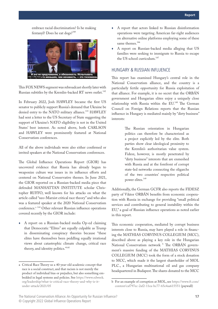<span id="page-20-0"></span>embrace racial discrimination? Is he making fentanyl? Does he eat dogs?<sup>141</sup>



This FOX NEWS segment was rebroadcast shortly later with Russian subtitles by the Kremlin-backed RT news outlet.<sup>142</sup>

In February 2022, Josh HAWLEY became the first US senator to publicly support Russia's demand that Ukraine be denied entry to the NATO military alliance.<sup>143</sup> HAWLEY had sent a letter to the US Secretary of State suggesting the support of Ukraine's NATO eligibility is not in the United States' best interest. As noted above, both CARLSON and HAWLEY were prominently featured at National Conservatism conferences.

All of the above individuals were also either confirmed or invited speakers at the National Conservatism conferences.

The Global Influence Operations Report (GIOR) has uncovered evidence that Russia has already begun to weaponize culture war issues in its influence efforts and centered on National Conservative themes. In June 2021, the GIOR reported on a Russian-backed media piece that defended MANHATTAN INSTITUTE scholar Christopher RUFFO, well known for his attacks on what the article called "neo-Marxist critical race theory" and who also was a featured speaker at the 2020 National Conservatism conference.<sup>a 144</sup> Other relevant Russian influence operations covered recently by the GIOR include:

A report on a Russian-backed media Op-ed claiming that Democratic "Elites" are equally culpable as Trump in disseminating conspiracy theories because "these elites have themselves been peddling equally irrational views about catastrophic climate change, critical race theory, and identity politics."145

- A report that actors linked to Russian disinformation operations were targeting American far-right audiences on alternative online platforms employing some of these same themes.<sup>146</sup>
- A report on Russian-backed media alleging that US families were seeking to immigrate to Russia to escape the US school curriculum.<sup>147</sup>

#### HUNGARY & RUSSIAN INFLUENCE

This report has examined Hungary's central role in the National Conservatism alliance, and the country is a particularly fertile opportunity for Russia exploitation of that alliance. For example, it is no secret that the ORBÁN government and Hungarian elites enjoy a uniquely close relationship with Russia within the EU.<sup>148</sup> The German Council on Foreign Relations reports that the Russian influence in Hungary is mediated mainly by "dirty business" interests:

> The Russian orientation in Hungarian politics can therefore be characterized as a project explicitly led by the elite. Both parties show clear ideological proximity to the Kremlin's authoritarian value system. Fidesz, however, is mostly penetrated by "dirty business" interests that are enmeshed with Russia and at the forefront of corrupt state-led networks connecting the oligarchs of the two countries' respective political power elites.<sup>149</sup>

Additionally, the German GCFR also reports the FIDESZ party of Viktor ORBÁN benefits from economic cooperation with Russia in exchange for providing "small political services and contributing to general instability within the EU," a goal of Russian influence operations as noted earlier in this report.

This economic cooperation, mediated by corrupt business interests close to Russia, may have played a role in financing the MATHIAS CORVINUS COLLEGIUM (MCC), described above as playing a key role in the Hungarian National Conservatism network <sup>b</sup> The ORBAN government's massive funding of the MATHIAS CORVINUS COLLEGIUM (MCC) took the form of a stock donation to MCC, which made it the largest shareholder of MOL PLC., a Hungarian multinational oil and gas company headquartered in Budapest. The shares donated to the MCC

a Critical Race Theory us a 40-year-old academic concept that race is a social construct, and that racism is not merely the product of individual bias or prejudice, but also something embedded in legal systems and policies. See [https://www.edweek.](https://www.edweek.org/leadership/what-is-critical-race-theory-and-why-is-it-under-attack/2021/05) [org/leadership/what-is-critical-race-theory-and-why-is-it](https://www.edweek.org/leadership/what-is-critical-race-theory-and-why-is-it-under-attack/2021/05)[under-attack/2021/05](https://www.edweek.org/leadership/what-is-critical-race-theory-and-why-is-it-under-attack/2021/05)

b For an example of corruption at MOL, see [https://www.ft.com/](https://www.ft.com/content/caf797ec-2af2-11ea-bc77-65e4aa615551) [content/caf797ec-2af2-11ea-bc77-65e4aa615551](https://www.ft.com/content/caf797ec-2af2-11ea-bc77-65e4aa615551) (paywall)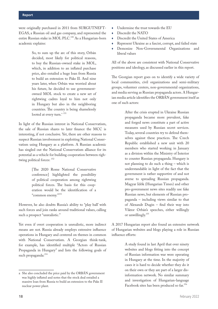were originally purchased in 2011 from SURGUTNEFT-EGAS, a Russian oil and gas company, and represented the entire Russian stake in MOL PLC.<sup>150</sup> As a Hungarian-born academic explains:

> So, to sum up the arc of this story, Orbán decided, most likely for political reasons, to buy the Russian-owned stake in MOL, which, in addition to an inflated purchase price, also entailed a huge loan from Russia to build an extension to Paks II. And nine years later, when Orbán was worried about his future, he decided to use governmentowned MOL stock to create a new set of rightwing cadres loyal to him not only in Hungary but also in the neighboring countries. The country is being shamelessly looted at every turn.<sup>a 151</sup>

In light of the Russian interest in National Conservatism, the sale of Russian shares to later finance the MCC is interesting, if not conclusive. Yet, there are other reasons to suspect Russian involvement in exploiting National Conservatism using Hungary as a platform. A Russian academic has singled out the National Conservatism alliance for its potential as a vehicle for building cooperation between rightwing political forces:  $152$ 

> [The 2020 Rome National Conservative conference] highlighted the possibility of political cooperation among rightwing political forces. The basis for this cooperation would be the identification of a "common enemy."<sup>153</sup>

However, he also doubts Russia's ability to "play ball' with such forces and join ranks around traditional values, calling such a prospect "unrealistic."

Yet even if overt cooperation is unrealistic, more indirect means are not. Russia already employs extensive influence operations in Hungary and centered on themes in common with National Conservatism. A Georgian think-tank, for example, has identified multiple "Actors of Russian Propaganda in Hungary" and lists the following goals of such propaganda:<sup>154</sup>

- Undermine the trust towards the EU
- Discredit the NATO
- ♦ Discredit the United States of America
- ♦ Represent Ukraine as a fascist, corrupt, and failed state
- ♦ Demonize Non-Governmental Organizations and liberal values

All of the above are consistent with National Conservative positions and ideology, as discussed earlier in this report.

The Georgian report goes on to identify a wide variety of local communities, civil organizations and semi-military groups, volunteer centers, non-governmental organizations, and media serving as Russian propaganda actors. A Hungarian media article identifies the ORBÁN government itself as one of such actors:

> After the crisis erupted in Ukraine Russian propaganda became more prevalent, fake and forged news constitute a part of active measures used by Russian secret services. Today, several countries try to defend themselves against these practices. The Czech Republic established a new unit with 20 members who started working in January as a division within the Ministry of Interior to counter Russian propaganda. Hungary is not planning to do such a thing – which is understandable in light of the fact that the government is rather supportive of and not averse to spreading Russian propaganda. Magyar Idők (Hungarian Times) and other pro-government news sites readily use fake Russian news, but elements of Russian propaganda – including views similar to that of Alexandr Dugin – find their way into Viktor Orbán's speeches, either willingly or unwillingly.<sup>155</sup>

A 2017 Hungarian report also found an extensive network of Hungarian websites and blogs playing a role in Russian influence efforts:

> A study found in last April that over ninety websites and blogs fitting into the concept of Russian information war were operating in Hungary at the time. In the majority of cases it is hard to decide whether they do it on their own or they are part of a larger disinformation network. No similar summary and investigation of Hungarian-language Facebook sites has been produced so far.<sup>156</sup>

a She also concluded the price paid by the ORBÁN government was highly inflated and notes that the stock deal entailed a massive loan from Russia to build an extension to the Paks II nuclear power plant.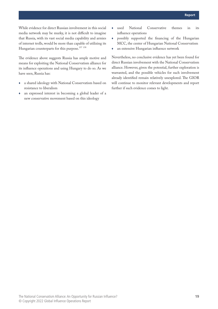While evidence for direct Russian involvement in this social media network may be murky, it is not difficult to imagine that Russia, with its vast social media capability and armies of internet trolls, would be more than capable of utilizing its Hungarian counterparts for this purpose.<sup>157 158</sup>

The evidence above suggests Russia has ample motive and means for exploiting the National Conservatism alliance for its influence operations and using Hungary to do so. As we have seen, Russia has:

- ♦ a shared ideology with National Conservatism based on resistance to liberalism
- an expressed interest in becoming a global leader of a new conservative movement based on this ideology
- ♦ used National Conservative themes in its influence operations
- ♦ possibly supported the financing of the Hungarian MCC, the center of Hungarian National Conservatism
- ♦ an extensive Hungarian influence network

Nevertheless, no conclusive evidence has yet been found for direct Russian involvement with the National Conservatism alliance. However, given the potential, further exploration is warranted, and the possible vehicles for such involvement already identified remain relatively unexplored. The GIOR will continue to monitor relevant developments and report further if such evidence comes to light.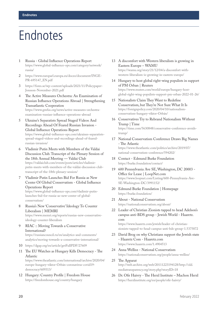### <span id="page-23-0"></span>Endnotes

- 1 Russia Global Influence Operations Report [https://www.global-influence-ops.com/category/network/](https://www.global-influence-ops.com/category/network/russia/) [russia/](https://www.global-influence-ops.com/category/network/russia/)
- 2 [https://www.europarl.europa.eu/doceo/document/INGE-](https://www.europarl.europa.eu/doceo/document/INGE-PR-695147_EN.pdf)[PR-695147\\_EN.pdf](https://www.europarl.europa.eu/doceo/document/INGE-PR-695147_EN.pdf)
- 3 [https://fores.se/wp-content/uploads/2021/11/Policypaper-](https://fores.se/wp-content/uploads/2021/11/Policypaper-Jonsson-November-2021.pdf)[Jonsson-November-2021.pdf](https://fores.se/wp-content/uploads/2021/11/Policypaper-Jonsson-November-2021.pdf)
- 4 The Active Measures Orchestra: An Examination of Russian Influence Operations Abroad | Strengthening Transatlantic Cooperation [https://www.gmfus.org/news/active-measures-orchestra](https://www.gmfus.org/news/active-measures-orchestra-examination-russian-influence-operations-abroad)[examination-russian-influence-operations-abroad](https://www.gmfus.org/news/active-measures-orchestra-examination-russian-influence-operations-abroad)
- 5 Ukraine's Separatists Spread Staged Videos And Recordings Ahead Of Feared Russian Invasion - Global Influence Operations Report [https://www.global-influence-ops.com/ukraines-separatists](https://www.global-influence-ops.com/ukraines-separatists-spread-staged-videos-and-recordings-ahead-of-feared-russian-invasion/)[spread-staged-videos-and-recordings-ahead-of-feared](https://www.global-influence-ops.com/ukraines-separatists-spread-staged-videos-and-recordings-ahead-of-feared-russian-invasion/)[russian-invasion/](https://www.global-influence-ops.com/ukraines-separatists-spread-staged-videos-and-recordings-ahead-of-feared-russian-invasion/)
- 6 Vladimir Putin Meets with Members of the Valdai Discussion Club. Transcript of the Plenary Session of the 18th Annual Meeting — Valdai Club [https://valdaiclub.com/events/posts/articles/vladimir](https://valdaiclub.com/events/posts/articles/vladimir-putin-meets-with-members-of-the-valdai-discussion-club-transcript-of-the-18th-plenary-session/)[putin-meets-with-members-of-the-valdai-discussion-club](https://valdaiclub.com/events/posts/articles/vladimir-putin-meets-with-members-of-the-valdai-discussion-club-transcript-of-the-18th-plenary-session/)[transcript-of-the-18th-plenary-session/](https://valdaiclub.com/events/posts/articles/vladimir-putin-meets-with-members-of-the-valdai-discussion-club-transcript-of-the-18th-plenary-session/)
- 7 Vladimir Putin Launches Bid For Russia as New Center Of Global Conservatism - Global Influence Operations Report

[https://www.global-influence-ops.com/vladimir-putin](https://www.global-influence-ops.com/vladimir-putin-launches-bid-for-russia-as-new-center-of-global-conservatism/)[launches-bid-for-russia-as-new-center-of-global](https://www.global-influence-ops.com/vladimir-putin-launches-bid-for-russia-as-new-center-of-global-conservatism/)[conservatism/](https://www.global-influence-ops.com/vladimir-putin-launches-bid-for-russia-as-new-center-of-global-conservatism/)

8 Russia's New 'Conservative' Ideology To Counter Liberalism | MEMRI

[https://www.memri.org/reports/russias-new-conservative](https://www.memri.org/reports/russias-new-conservative-ideology-counter-liberalism)[ideology-counter-liberalism](https://www.memri.org/reports/russias-new-conservative-ideology-counter-liberalism)

9 RIAC :: Moving Towards a Conservative International?

[https://russiancouncil.ru/en/analytics-and-comments/](https://russiancouncil.ru/en/analytics-and-comments/analytics/moving-towards-a-conservative-international/) [analytics/moving-towards-a-conservative-international/](https://russiancouncil.ru/en/analytics-and-comments/analytics/moving-towards-a-conservative-international/)

- 10 <https://dgap.org/en/article/getFullPDF/27609>
- 11 The EU Watches as Hungary Kills Democracy The Atlantic

[https://www.theatlantic.com/international/archive/2020/04/](https://www.theatlantic.com/international/archive/2020/04/europe-hungary-viktor-orban-coronavirus-covid19-democracy/609313/) [europe-hungary-viktor-Orbán-coronavirus-covid19](https://www.theatlantic.com/international/archive/2020/04/europe-hungary-viktor-orban-coronavirus-covid19-democracy/609313/) [democracy/609313/](https://www.theatlantic.com/international/archive/2020/04/europe-hungary-viktor-orban-coronavirus-covid19-democracy/609313/)

12 Hungary: Country Profile | Freedom House <https://freedomhouse.org/country/hungary>

- 13 A discomfort with Western liberalism is growing in Eastern Europe – WAMU [https://wamu.org/story/21/12/04/a-discomfort-with](https://wamu.org/story/21/12/04/a-discomfort-with-western-liberalism-is-growing-in-eastern-europe/)[western-liberalism-is-growing-in-eastern-europe/](https://wamu.org/story/21/12/04/a-discomfort-with-western-liberalism-is-growing-in-eastern-europe/)
- 14 Hungary to host global right-wing populists in support of PM Orban | Reuters [https://www.reuters.com/world/europe/hungary-host](https://www.reuters.com/world/europe/hungary-host-global-right-wing-populists-support-pm-orban-2022-01-26/)[global-right-wing-populists-support-pm-orban-2022-01-26/](https://www.reuters.com/world/europe/hungary-host-global-right-wing-populists-support-pm-orban-2022-01-26/)
- 15 Nationalists Claim They Want to Redefine Conservatism, but They're Not Sure What It Is [https://foreignpolicy.com/2020/04/10/nationalism](https://foreignpolicy.com/2020/04/10/nationalism-conservatism-hungary-viktor-orban/)[conservatism-hungary-viktor-Orbán/](https://foreignpolicy.com/2020/04/10/nationalism-conservatism-hungary-viktor-orban/)
- 16 Conservatives Try to Rebrand Nationalism Without Trump | Time [https://time.com/5630848/conservative-conference-avoids](https://time.com/5630848/conservative-conference-avoids-trump/)[trump/](https://time.com/5630848/conservative-conference-avoids-trump/)
- 17 National Conservatism Conference Draws Big Names - The Atlantic [https://www.theatlantic.com/politics/archive/2019/07/](https://www.theatlantic.com/politics/archive/2019/07/national-conservatism-conference/594202/) [national-conservatism-conference/594202/](https://www.theatlantic.com/politics/archive/2019/07/national-conservatism-conference/594202/)
- 18 Contact Edmund Burke Foundation <https://burke.foundation/contact/>
- 19 600 Pennsylvania Ave SE, Washington, DC 20003 Office for Lease | LoopNet.com [https://www.loopnet.com/Listing/600-Pennsylvania-Ave-](https://www.loopnet.com/Listing/600-Pennsylvania-Ave-SE-Washington-DC/3991152/)[SE-Washington-DC/3991152/](https://www.loopnet.com/Listing/600-Pennsylvania-Ave-SE-Washington-DC/3991152/)
- 20 Edmund Burke Foundation | Homepage <https://burke.foundation/>
- 21 About National Conservatism <https://nationalconservatism.org/about/>
- 22 Leader of Christian Zionists tapped to head Adelson's campus anti-BDS group - Jewish World - Haaretz. com

[https://www.haaretz.com/jewish/leader-of-christian](https://www.haaretz.com/jewish/leader-of-christian-zionists-tapped-to-head-campus-anti-bds-group-1.5375872)[zionists-tapped-to-head-campus-anti-bds-group-1.5375872](https://www.haaretz.com/jewish/leader-of-christian-zionists-tapped-to-head-campus-anti-bds-group-1.5375872)

- 23 David Brog on why Christians support the Jewish state - Haaretz Com - Haaretz.com <https://www.haaretz.com/1.4904513>
- 24 Anna Wellisz National Conservatism <https://nationalconservatism.org/people/anna-wellisz/>
- 25 The Apparat [http://web.archive.org/web/20111223194128/http://old.](http://web.archive.org/web/20111223194128/http://old.mediatransparency.org/story.php?storyID=18) [mediatransparency.org/story.php?storyID=18](http://web.archive.org/web/20111223194128/http://old.mediatransparency.org/story.php?storyID=18)
- 26 Dr. Ofir Haivry The Herzl Institute Machon Herzl <https://herzlinstitute.org/en/people/ofir-haivry/>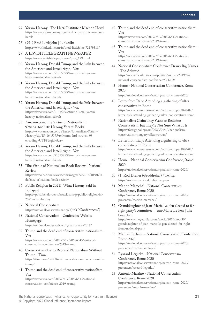- 27 Yoram Hazony | The Herzl Institute / Machon Herzl [https://www.yoramhazony.org/the-herzl-institute-machon](https://www.yoramhazony.org/the-herzl-institute-machon-herzl/)[herzl/](https://www.yoramhazony.org/the-herzl-institute-machon-herzl/)
- 28 (99+) Brad Littlejohn | LinkedIn <https://www.linkedin.com/in/brad-littlejohn-72179511/>
- 29 A JEWISH TELEGRAPH NEWSPAPER [https://www.jewishtelegraph.com/prof\\_179.html](https://www.jewishtelegraph.com/prof_179.html)
- 30 Yoram Hazony, Donald Trump, and the links between the American and Israeli right - Vox [https://www.vox.com/21355993/trump-israel-yoram](https://www.vox.com/21355993/trump-israel-yoram-hazony-nationalism-tikvah)[hazony-nationalism-tikvah](https://www.vox.com/21355993/trump-israel-yoram-hazony-nationalism-tikvah)
- 31 Yoram Hazony, Donald Trump, and the links between the American and Israeli right - Vox [https://www.vox.com/21355993/trump-israel-yoram](https://www.vox.com/21355993/trump-israel-yoram-hazony-nationalism-tikvah)[hazony-nationalism-tikvah](https://www.vox.com/21355993/trump-israel-yoram-hazony-nationalism-tikvah)
- 32 Yoram Hazony, Donald Trump, and the links between the American and Israeli right - Vox [https://www.vox.com/21355993/trump-israel-yoram](https://www.vox.com/21355993/trump-israel-yoram-hazony-nationalism-tikvah)[hazony-nationalism-tikvah](https://www.vox.com/21355993/trump-israel-yoram-hazony-nationalism-tikvah)
- 33 Amazon.com: The Virtue of Nationalism: 9781541645370: Hazony, Yoram: Books [https://www.amazon.com/Virtue-Nationalism-Yoram-](https://www.amazon.com/Virtue-Nationalism-Yoram-Hazony/dp/1541645375/ref=tmm_hrd_swatch_0?_encoding=UTF8&qid=&sr=)[Hazony/dp/1541645375/ref=tmm\\_hrd\\_swatch\\_0?\\_](https://www.amazon.com/Virtue-Nationalism-Yoram-Hazony/dp/1541645375/ref=tmm_hrd_swatch_0?_encoding=UTF8&qid=&sr=) [encoding=UTF8&qid=&sr=](https://www.amazon.com/Virtue-Nationalism-Yoram-Hazony/dp/1541645375/ref=tmm_hrd_swatch_0?_encoding=UTF8&qid=&sr=)
- 34 Yoram Hazony, Donald Trump, and the links between the American and Israeli right - Vox [https://www.vox.com/21355993/trump-israel-yoram](https://www.vox.com/21355993/trump-israel-yoram-hazony-nationalism-tikvah)[hazony-nationalism-tikvah](https://www.vox.com/21355993/trump-israel-yoram-hazony-nationalism-tikvah)
- 35 'The Virtue of Nationalism' Book Review | National Review

[https://www.nationalreview.com/magazine/2018/10/01/in](https://www.nationalreview.com/magazine/2018/10/01/in-defense-of-nations-book-review/)[defense-of-nations-book-review/](https://www.nationalreview.com/magazine/2018/10/01/in-defense-of-nations-book-review/)

- 36 Public Religion in 2021?: What Hazony Said in Budapest [https://postliberalorder.substack.com/p/public-religion-in-](https://postliberalorder.substack.com/p/public-religion-in-2021-what-hazony)
- 37 National Conservatism <https://nationalconservatism.org/>(link "Conferences")
- 38 National Conservatism | Conference Website Homepage

[2021-what-hazony](https://postliberalorder.substack.com/p/public-religion-in-2021-what-hazony)

<https://nationalconservatism.org/natcon-dc-2019/>

39 Trump and the dead end of conservative nationalism - Vox

[https://www.vox.com/2019/7/17/20696543/national](https://www.vox.com/2019/7/17/20696543/national-conservatism-conference-2019-trump)[conservatism-conference-2019-trump](https://www.vox.com/2019/7/17/20696543/national-conservatism-conference-2019-trump)

40 Conservatives Try to Rebrand Nationalism Without Trump | Time [https://time.com/5630848/conservative-conference-avoids-](https://time.com/5630848/conservative-conference-avoids-trump/)

[trump/](https://time.com/5630848/conservative-conference-avoids-trump/)

41 Trump and the dead end of conservative nationalism - Vox

[https://www.vox.com/2019/7/17/20696543/national](https://www.vox.com/2019/7/17/20696543/national-conservatism-conference-2019-trump)[conservatism-conference-2019-trump](https://www.vox.com/2019/7/17/20696543/national-conservatism-conference-2019-trump)

42 Trump and the dead end of conservative nationalism - Vox

[https://www.vox.com/2019/7/17/20696543/national](https://www.vox.com/2019/7/17/20696543/national-conservatism-conference-2019-trump)[conservatism-conference-2019-trump](https://www.vox.com/2019/7/17/20696543/national-conservatism-conference-2019-trump)

43 Trump and the dead end of conservative nationalism - Vox

[https://www.vox.com/2019/7/17/20696543/national](https://www.vox.com/2019/7/17/20696543/national-conservatism-conference-2019-trump)[conservatism-conference-2019-trump](https://www.vox.com/2019/7/17/20696543/national-conservatism-conference-2019-trump)

- 44 National Conservatism Conference Draws Big Names - The Atlantic [https://www.theatlantic.com/politics/archive/2019/07/](https://www.theatlantic.com/politics/archive/2019/07/national-conservatism-conference/594202/) [national-conservatism-conference/594202/](https://www.theatlantic.com/politics/archive/2019/07/national-conservatism-conference/594202/)
- 45 Home National Conservatism Conference, Rome 2020

<https://nationalconservatism.org/natcon-rome-2020/>

- 46 Letter from Italy: Attending a gathering of ultra conservatives in Rome [https://www.newstatesman.com/world/europe/2020/02/](https://www.newstatesman.com/world/europe/2020/02/letter-italy-attending-gathering-ultra-conservatives-rome) [letter-italy-attending-gathering-ultra-conservatives-rome](https://www.newstatesman.com/world/europe/2020/02/letter-italy-attending-gathering-ultra-conservatives-rome)
- 47 Nationalists Claim They Want to Redefine Conservatism, but They're Not Sure What It Is [https://foreignpolicy.com/2020/04/10/nationalism](https://foreignpolicy.com/2020/04/10/nationalism-conservatism-hungary-viktor-orban/)[conservatism-hungary-viktor-orban/](https://foreignpolicy.com/2020/04/10/nationalism-conservatism-hungary-viktor-orban/)
- 48 Letter from Italy: Attending a gathering of ultra conservatives in Rome [https://www.newstatesman.com/world/europe/2020/02/](https://www.newstatesman.com/world/europe/2020/02/letter-italy-attending-gathering-ultra-conservatives-rome) [letter-italy-attending-gathering-ultra-conservatives-rome](https://www.newstatesman.com/world/europe/2020/02/letter-italy-attending-gathering-ultra-conservatives-rome)
- 49 Home National Conservatism Conference, Rome 2020

<https://nationalconservatism.org/natcon-rome-2020/>

- 50 (1) Rod Dreher (@roddreher) / Twitter <https://twitter.com/roddreher?lang=en>
- 51 Marion Marechal National Conservatism Conference, Rome 2020 [https://nationalconservatism.org/natcon-rome-2020/](https://nationalconservatism.org/natcon-rome-2020/presenters/marion-marechal/) [presenters/marion-marechal/](https://nationalconservatism.org/natcon-rome-2020/presenters/marion-marechal/)
- 52 Granddaughter of Jean-Marie Le Pen elected to farright party's committee | Jean-Marie Le Pen | The Guardian [https://www.theguardian.com/world/2014/nov/30/](https://www.theguardian.com/world/2014/nov/30/granddaughter-of-jean-marie-le-pen-elected-far-right-front-national-party)

[granddaughter-of-jean-marie-le-pen-elected-far-right](https://www.theguardian.com/world/2014/nov/30/granddaughter-of-jean-marie-le-pen-elected-far-right-front-national-party)[front-national-party](https://www.theguardian.com/world/2014/nov/30/granddaughter-of-jean-marie-le-pen-elected-far-right-front-national-party)

- 53 Mattias Karlsson National Conservatism Conference, Rome 2020 [https://nationalconservatism.org/natcon-rome-2020/](https://nationalconservatism.org/natcon-rome-2020/presenters/mattias-karlsson/) [presenters/mattias-karlsson/](https://nationalconservatism.org/natcon-rome-2020/presenters/mattias-karlsson/)
- 54 Ryszard Legutko National Conservatism Conference, Rome 2020 [https://nationalconservatism.org/natcon-rome-2020/](https://nationalconservatism.org/natcon-rome-2020/presenters/ryszard-legutko/) [presenters/ryszard-legutko/](https://nationalconservatism.org/natcon-rome-2020/presenters/ryszard-legutko/)
- 55 Antonio Martino National Conservatism Conference, Rome 2020 [https://nationalconservatism.org/natcon-rome-2020/](https://nationalconservatism.org/natcon-rome-2020/presenters/antonio-martino/) [presenters/antonio-martino/](https://nationalconservatism.org/natcon-rome-2020/presenters/antonio-martino/)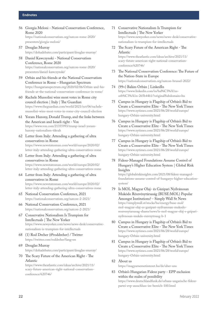#### **Endnotes**

56 Giorgia Meloni - National Conservatism Conference, Rome 2020

[https://nationalconservatism.org/natcon-rome-2020/](https://nationalconservatism.org/natcon-rome-2020/presenters/giorgia-meloni/) [presenters/giorgia-meloni/](https://nationalconservatism.org/natcon-rome-2020/presenters/giorgia-meloni/)

- 57 Douglas Murray <https://dohadebates.com/participant/douglas-murray/>
- 58 Daniel Kawczynski National Conservatism Conference, Rome 2020 [https://nationalconservatism.org/natcon-rome-2020/](https://nationalconservatism.org/natcon-rome-2020/presenters/daniel-kawczynski/) [presenters/daniel-kawczynski/](https://nationalconservatism.org/natcon-rome-2020/presenters/daniel-kawczynski/)
- 59 Orbán and his friends at the National Conservatism Conference in Rome – Hungarian Spectrum [https://hungarianspectrum.org/2020/02/06/Orbán-and-his](https://hungarianspectrum.org/2020/02/06/orban-and-his-friends-at-the-national-conservatism-conference-in-rome/)[friends-at-the-national-conservatism-conference-in-rome/](https://hungarianspectrum.org/2020/02/06/orban-and-his-friends-at-the-national-conservatism-conference-in-rome/)
- 60 Rachele Mussolini wins most votes in Rome city council election | Italy | The Guardian [https://www.theguardian.com/world/2021/oct/06/rachele](https://www.theguardian.com/world/2021/oct/06/rachele-mussolini-wins-most-votes-in-rome-city-council-election)[mussolini-wins-most-votes-in-rome-city-council-election](https://www.theguardian.com/world/2021/oct/06/rachele-mussolini-wins-most-votes-in-rome-city-council-election)
- 61 Yoram Hazony, Donald Trump, and the links between the American and Israeli right - Vox [https://www.vox.com/21355993/trump-israel-yoram](https://www.vox.com/21355993/trump-israel-yoram-hazony-nationalism-tikvah)[hazony-nationalism-tikvah](https://www.vox.com/21355993/trump-israel-yoram-hazony-nationalism-tikvah)
- 62 Letter from Italy: Attending a gathering of ultra conservatives in Rome [https://www.newstatesman.com/world/europe/2020/02/](https://www.newstatesman.com/world/europe/2020/02/letter-italy-attending-gathering-ultra-conservatives-rome) [letter-italy-attending-gathering-ultra-conservatives-rome](https://www.newstatesman.com/world/europe/2020/02/letter-italy-attending-gathering-ultra-conservatives-rome)
- 63 Letter from Italy: Attending a gathering of ultra conservatives in Rome [https://www.newstatesman.com/world/europe/2020/02/](https://www.newstatesman.com/world/europe/2020/02/letter-italy-attending-gathering-ultra-conservatives-rome)
- [letter-italy-attending-gathering-ultra-conservatives-rome](https://www.newstatesman.com/world/europe/2020/02/letter-italy-attending-gathering-ultra-conservatives-rome) 64 Letter from Italy: Attending a gathering of ultra conservatives in Rome

[https://www.newstatesman.com/world/europe/2020/02/](https://www.newstatesman.com/world/europe/2020/02/letter-italy-attending-gathering-ultra-conservatives-rome) [letter-italy-attending-gathering-ultra-conservatives-rome](https://www.newstatesman.com/world/europe/2020/02/letter-italy-attending-gathering-ultra-conservatives-rome)

- 65 National Conservatism Conference, 2021 <https://nationalconservatism.org/natcon-2-2021/>
- 66 National Conservatism Conference, 2021 <https://nationalconservatism.org/natcon-2-2021/>
- 67 Conservative Nationalism Is Trumpism for Intellectuals | The New Yorker [https://www.newyorker.com/news/news-desk/conservative](https://www.newyorker.com/news/news-desk/conservative-nationalism-is-trumpism-for-intellectuals)[nationalism-is-trumpism-for-intellectuals](https://www.newyorker.com/news/news-desk/conservative-nationalism-is-trumpism-for-intellectuals)
- 68 (1) Rod Dreher (@roddreher) / Twitter <https://twitter.com/roddreher?lang=en>
- 69 Douglas Murray <https://dohadebates.com/participant/douglas-murray/>
- 70 The Scary Future of the American Right The Atlantic

[https://www.theatlantic.com/ideas/archive/2021/11/](https://www.theatlantic.com/ideas/archive/2021/11/scary-future-american-right-national-conservatism-conference/620746/) [scary-future-american-right-national-conservatism](https://www.theatlantic.com/ideas/archive/2021/11/scary-future-american-right-national-conservatism-conference/620746/)[conference/620746/](https://www.theatlantic.com/ideas/archive/2021/11/scary-future-american-right-national-conservatism-conference/620746/)

71 Conservative Nationalism Is Trumpism for Intellectuals | The New Yorker

[https://www.newyorker.com/news/news-desk/conservative](https://www.newyorker.com/news/news-desk/conservative-nationalism-is-trumpism-for-intellectuals)[nationalism-is-trumpism-for-intellectuals](https://www.newyorker.com/news/news-desk/conservative-nationalism-is-trumpism-for-intellectuals)

72 The Scary Future of the American Right - The Atlantic

[https://www.theatlantic.com/ideas/archive/2021/11/](https://www.theatlantic.com/ideas/archive/2021/11/scary-future-american-right-national-conservatism-conference/620746/) [scary-future-american-right-national-conservatism](https://www.theatlantic.com/ideas/archive/2021/11/scary-future-american-right-national-conservatism-conference/620746/)[conference/620746/](https://www.theatlantic.com/ideas/archive/2021/11/scary-future-american-right-national-conservatism-conference/620746/)

- 73 The National Conservatism Conference: The Future of the Nation-State in Europe <https://nationalconservatism.org/natcon-brussel-2022/>
- 74 (99+) Balázs Orbán | LinkedIn [https://www.linkedin.com/in/bal%C3%A1zs](https://www.linkedin.com/in/bal%C3%A1zs-orb%C3%A1n-265b44b1/?originalSubdomain=hu)[orb%C3%A1n-265b44b1/?originalSubdomain=hu](https://www.linkedin.com/in/bal%C3%A1zs-orb%C3%A1n-265b44b1/?originalSubdomain=hu)
- 75 Campus in Hungary is Flagship of Orbán's Bid to Create a Conservative Elite - The New York Times [https://www.nytimes.com/2021/06/28/world/europe/](https://www.nytimes.com/2021/06/28/world/europe/hungary-orban-university.html) [hungary-Orbán-university.html](https://www.nytimes.com/2021/06/28/world/europe/hungary-orban-university.html)
- 76 Campus in Hungary is Flagship of Orbán's Bid to Create a Conservative Elite - The New York Times [https://www.nytimes.com/2021/06/28/world/europe/](https://www.nytimes.com/2021/06/28/world/europe/hungary-orban-university.html) [hungary-Orbán-university.html](https://www.nytimes.com/2021/06/28/world/europe/hungary-orban-university.html)
- 77 Campus in Hungary is Flagship of Orbán's Bid to Create a Conservative Elite - The New York Times [https://www.nytimes.com/2021/06/28/world/europe/](https://www.nytimes.com/2021/06/28/world/europe/hungary-orban-university.html) [hungary-Orbán-university.html](https://www.nytimes.com/2021/06/28/world/europe/hungary-orban-university.html)
- 78 Fidesz-Managed Foundations Assume Control of Hungary's Higher Education System | Global Risk Insights

[https://globalriskinsights.com/2021/08/fidesz-managed](https://globalriskinsights.com/2021/08/fidesz-managed-foundations-assume-control-of-hungarys-higher-education-system/)[foundations-assume-control-of-hungarys-higher-education](https://globalriskinsights.com/2021/08/fidesz-managed-foundations-assume-control-of-hungarys-higher-education-system/)[system/](https://globalriskinsights.com/2021/08/fidesz-managed-foundations-assume-control-of-hungarys-higher-education-system/)

- 79 Is MOL Magyar Olaj- és Gázipari Nyilvánosan Muködo Részvénytársaság (BUSE:MOL) Popular Amongst Institutions? - Simply Wall St News [https://simplywall.st/stocks/hu/energy/buse-mol/](https://simplywall.st/stocks/hu/energy/buse-mol/mol-magyar-olaj-es-gazipari-nyilvanosan-mukodo-reszvenytarsasag-shares/news/is-mol-magyar-olaj-s-gzipari-nyilvnosan-mukdo-rszvnytrsasg-b-1) [mol-magyar-olaj-es-gazipari-nyilvanosan-mukodo](https://simplywall.st/stocks/hu/energy/buse-mol/mol-magyar-olaj-es-gazipari-nyilvanosan-mukodo-reszvenytarsasag-shares/news/is-mol-magyar-olaj-s-gzipari-nyilvnosan-mukdo-rszvnytrsasg-b-1)[reszvenytarsasag-shares/news/is-mol-magyar-olaj-s-gzipari](https://simplywall.st/stocks/hu/energy/buse-mol/mol-magyar-olaj-es-gazipari-nyilvanosan-mukodo-reszvenytarsasag-shares/news/is-mol-magyar-olaj-s-gzipari-nyilvnosan-mukdo-rszvnytrsasg-b-1)[nyilvnosan-mukdo-rszvnytrsasg-b-1](https://simplywall.st/stocks/hu/energy/buse-mol/mol-magyar-olaj-es-gazipari-nyilvanosan-mukodo-reszvenytarsasag-shares/news/is-mol-magyar-olaj-s-gzipari-nyilvnosan-mukdo-rszvnytrsasg-b-1)
- 80 Campus in Hungary is Flagship of Orbán's Bid to Create a Conservative Elite - The New York Times [https://www.nytimes.com/2021/06/28/world/europe/](https://www.nytimes.com/2021/06/28/world/europe/hungary-orban-university.html) [hungary-Orbán-university.html](https://www.nytimes.com/2021/06/28/world/europe/hungary-orban-university.html)
- 81 Campus in Hungary is Flagship of Orbán's Bid to Create a Conservative Elite - The New York Times [https://www.nytimes.com/2021/06/28/world/europe/](https://www.nytimes.com/2021/06/28/world/europe/hungary-orban-university.html) [hungary-Orbán-university.html](https://www.nytimes.com/2021/06/28/world/europe/hungary-orban-university.html)

#### 82 About us

<https://magyarnemetintezet.hu/de/uber-uns>

83 Orbán's Hungarian Fidesz party - EPP exclusion within the realm of possibility [https://www.deutschlandfunk.de/orbans-ungarische-fidesz](https://www.deutschlandfunk.de/orbans-ungarische-fidesz-partei-evp-ausschluss-im-bereich-100.html)[partei-evp-ausschluss-im-bereich-100.html](https://www.deutschlandfunk.de/orbans-ungarische-fidesz-partei-evp-ausschluss-im-bereich-100.html)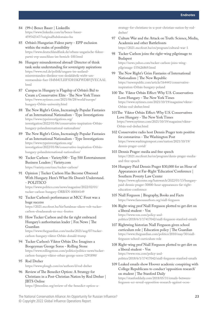- 84 (99+) Bence Bauer | LinkedIn [https://www.linkedin.com/in/bence-bauer-](https://www.linkedin.com/in/bence-bauer-459542147/?originalSubdomain=hu)[459542147/?originalSubdomain=hu](https://www.linkedin.com/in/bence-bauer-459542147/?originalSubdomain=hu)
- 85 Orbán's Hungarian Fidesz party EPP exclusion within the realm of possibility [https://www.deutschlandfunk.de/orbans-ungarische-fidesz](https://www.deutschlandfunk.de/orbans-ungarische-fidesz-partei-evp-ausschluss-im-bereich-100.html)[partei-evp-ausschluss-im-bereich-100.html](https://www.deutschlandfunk.de/orbans-ungarische-fidesz-partei-evp-ausschluss-im-bereich-100.html)
- 86 Hungary misunderstood abroad? Director of think tank seeks understanding for sovereignty aspirations [https://www.rnd.de/politik/ungarn-im-ausland](https://www.rnd.de/politik/ungarn-im-ausland-missverstanden-direktor-von-denkfabrik-wirbt-um-verstaendnis-fuer-H4M4ULIIF5DH3KFWDBVJVECAAI.html)[missverstanden-direktor-von-denkfabrik-wirbt-um](https://www.rnd.de/politik/ungarn-im-ausland-missverstanden-direktor-von-denkfabrik-wirbt-um-verstaendnis-fuer-H4M4ULIIF5DH3KFWDBVJVECAAI.html)[verstaendnis-fuer-H4M4ULIIF5DH3KFWDBVJVECAAI.](https://www.rnd.de/politik/ungarn-im-ausland-missverstanden-direktor-von-denkfabrik-wirbt-um-verstaendnis-fuer-H4M4ULIIF5DH3KFWDBVJVECAAI.html) [html](https://www.rnd.de/politik/ungarn-im-ausland-missverstanden-direktor-von-denkfabrik-wirbt-um-verstaendnis-fuer-H4M4ULIIF5DH3KFWDBVJVECAAI.html)
- 87 Campus in Hungary is Flagship of Orbán's Bid to Create a Conservative Elite - The New York Times [https://www.nytimes.com/2021/06/28/world/europe/](https://www.nytimes.com/2021/06/28/world/europe/hungary-orban-university.html) [hungary-Orbán-university.html](https://www.nytimes.com/2021/06/28/world/europe/hungary-orban-university.html)
- 88 The New Right's Grim, Increasingly Popular Fantasies of an International Nationalism - Type Investigations [https://www.typeinvestigations.org/](https://www.typeinvestigations.org/investigation/2022/01/06/conservative-inspiration-orban-hungary-polandnternational-nationalism/) [investigation/2022/01/06/conservative-inspiration-Orbán](https://www.typeinvestigations.org/investigation/2022/01/06/conservative-inspiration-orban-hungary-polandnternational-nationalism/)[hungary-polandnternational-nationalism/](https://www.typeinvestigations.org/investigation/2022/01/06/conservative-inspiration-orban-hungary-polandnternational-nationalism/)
- 89 The New Right's Grim, Increasingly Popular Fantasies of an International Nationalism - Type Investigations [https://www.typeinvestigations.org/](https://www.typeinvestigations.org/investigation/2022/01/06/conservative-inspiration-orban-hungary-polandnternational-nationalism/) [investigation/2022/01/06/conservative-inspiration-Orbán](https://www.typeinvestigations.org/investigation/2022/01/06/conservative-inspiration-orban-hungary-polandnternational-nationalism/)[hungary-polandnternational-nationalism/](https://www.typeinvestigations.org/investigation/2022/01/06/conservative-inspiration-orban-hungary-polandnternational-nationalism/)
- 90 Tucker Carlson Variety500 Top 500 Entertainment Business Leaders | Variety.com <https://variety.com/exec/tucker-carlson/>
- 91 Opinion | Tucker Carlson Has Become Obsessed With Hungary. Here's What He Doesn't Understand. - POLITICO

[https://www.politico.com/news/magazine/2022/02/01/](https://www.politico.com/news/magazine/2022/02/01/tucker-carlson-hungary-orban-00004149) [tucker-carlson-hungary-ORBÁN-00004149](https://www.politico.com/news/magazine/2022/02/01/tucker-carlson-hungary-orban-00004149)

- 92 Tucker Carlson's performance at MCC Feszt was a huge success [https://2021.mccfeszt.hu/hir/hatalmas-sikere-volt-tucker](https://2021.mccfeszt.hu/hir/hatalmas-sikere-volt-tucker-carlson-eloadasanak-az-mcc-feszten)[carlson-eloadasanak-az-mcc-feszten](https://2021.mccfeszt.hu/hir/hatalmas-sikere-volt-tucker-carlson-eloadasanak-az-mcc-feszten)
- 93 How Tucker Carlson and the far right embraced Hungary's authoritarian leader | Fox News | The Guardian

[https://www.theguardian.com/media/2021/aug/07/tucker](https://www.theguardian.com/media/2021/aug/07/tucker-carlson-hungary-viktor-orban-donald-trump)[carlson-hungary-viktor-Orbán-donald-trump](https://www.theguardian.com/media/2021/aug/07/tucker-carlson-hungary-viktor-orban-donald-trump)

- 94 Tucker Carlson's Viktor Orbán Doc Imagines a Boogeyman George Soros - Rolling Stone [https://www.rollingstone.com/politics/politics-news/tucker](https://www.rollingstone.com/politics/politics-news/tucker-carlson-hungary-viktor-orban-george-soros-1291890/)[carlson-hungary-viktor-orban-george-soros-1291890/](https://www.rollingstone.com/politics/politics-news/tucker-carlson-hungary-viktor-orban-george-soros-1291890/)
- 95 Rod Dreher

<https://www.plough.com/en/authors/d/rod-dreher>

96 Review of The Benedict Option: A Strategy for Christians in a Post-Christian Nation by Rod Dreher | JBTS Online

[https://jbtsonline.org/review-of-the-benedict-option-a-](https://jbtsonline.org/review-of-the-benedict-option-a-strategy-for-christians-in-a-post-christian-nation-by-rod-dreher/)

[strategy-for-christians-in-a-post-christian-nation-by-rod](https://jbtsonline.org/review-of-the-benedict-option-a-strategy-for-christians-in-a-post-christian-nation-by-rod-dreher/)[dreher/](https://jbtsonline.org/review-of-the-benedict-option-a-strategy-for-christians-in-a-post-christian-nation-by-rod-dreher/)

- 97 Culture War and the Attack on Truth: Science, Media, Academia and other Battlefronts <https://2021.mccfeszt.hu/en/program/cultural-war-1>
- 98 Tucker Carlson joins the right-wing pilgrimage to Budapest [https://news.yahoo.com/tucker-carlson-joins-wing](https://news.yahoo.com/tucker-carlson-joins-wing-pilgrimage-155626869.html)[pilgrimage-155626869.html](https://news.yahoo.com/tucker-carlson-joins-wing-pilgrimage-155626869.html)
- 99 The New Right's Grim Fantasies of International Nationalism | The New Republic [https://newrepublic.com/article/164441/conservative](https://newrepublic.com/article/164441/conservative-inspiration-orban-hungary-poland)[inspiration-Orbán-hungary-poland](https://newrepublic.com/article/164441/conservative-inspiration-orban-hungary-poland)
- 100 The Viktor Orbán Effect: Why U.S. Conservatives Love Hungary - The New York Times [https://www.nytimes.com/2021/10/19/magazine/viktor-](https://www.nytimes.com/2021/10/19/magazine/viktor-orban-rod-dreher.html)[Orbán-rod-dreher.html](https://www.nytimes.com/2021/10/19/magazine/viktor-orban-rod-dreher.html)
- 101The Viktor Orbán Effect: Why U.S. Conservatives Love Hungary - The New York Times [https://www.nytimes.com/2021/10/19/magazine/viktor-](https://www.nytimes.com/2021/10/19/magazine/viktor-orban-rod-dreher.html)[Orbán-rod-dreher.html](https://www.nytimes.com/2021/10/19/magazine/viktor-orban-rod-dreher.html)
- 102 Conservative radio host Dennis Prager tests positive for coronavirus - The Washington Post [https://www.washingtonpost.com/nation/2021/10/19/](https://www.washingtonpost.com/nation/2021/10/19/dennis-prager-covid/) [dennis-prager-covid/](https://www.washingtonpost.com/nation/2021/10/19/dennis-prager-covid/)
- 103 Dennis Prager: media and free speech [https://2021.mccfeszt.hu/en/program/denis-prager-media](https://2021.mccfeszt.hu/en/program/denis-prager-media-and-free-speach)[and-free-speach](https://2021.mccfeszt.hu/en/program/denis-prager-media-and-free-speach)
- 104 Hungary Paid Dennis Prager \$30,000 for an Hour of Appearances at Far-Right 'Education' Conference | Southern Poverty Law Center [https://www.splcenter.org/hatewatch/2022/01/13/hungary](https://www.splcenter.org/hatewatch/2022/01/13/hungary-paid-dennis-prager-30000-hour-appearances-far-right-education-conference)[paid-dennis-prager-30000-hour-appearances-far-right](https://www.splcenter.org/hatewatch/2022/01/13/hungary-paid-dennis-prager-30000-hour-appearances-far-right-education-conference)[education-conference](https://www.splcenter.org/hatewatch/2022/01/13/hungary-paid-dennis-prager-30000-hour-appearances-far-right-education-conference)
- 105 Niall Ferguson | Biography, Books and Facts <https://www.famousauthors.org/niall-ferguson>
- 106 Right-wing prof Niall Ferguson plotted to get dirt on a liberal student - Vox [https://www.vox.com/policy-and](https://www.vox.com/policy-and-politics/2018/6/1/17417042/niall-ferguson-stanford-emails)[politics/2018/6/1/17417042/niall-ferguson-stanford-emails](https://www.vox.com/policy-and-politics/2018/6/1/17417042/niall-ferguson-stanford-emails)
- 107 Rightwing historian Niall Ferguson given school curriculum role | Education policy | The Guardian [https://www.theguardian.com/politics/2010/may/30/niall](https://www.theguardian.com/politics/2010/may/30/niall-ferguson-school-curriculum-role)[ferguson-school-curriculum-role](https://www.theguardian.com/politics/2010/may/30/niall-ferguson-school-curriculum-role)
- 108 Right-wing prof Niall Ferguson plotted to get dirt on a liberal student - Vox [https://www.vox.com/policy-and](https://www.vox.com/policy-and-politics/2018/6/1/17417042/niall-ferguson-stanford-emails)[politics/2018/6/1/17417042/niall-ferguson-stanford-emails](https://www.vox.com/policy-and-politics/2018/6/1/17417042/niall-ferguson-stanford-emails)
- 109 Leaked emails show Hoover academic conspiring with College Republicans to conduct 'opposition research' on student | The Stanford Daily

[https://stanforddaily.com/2018/05/31/emails-between](https://stanforddaily.com/2018/05/31/emails-between-ferguson-scr-reveal-opposition-research-against-ocon-prompt-fergusons-resignation-from-cardinal-conversations-leadership-role/)[ferguson-scr-reveal-opposition-research-against-ocon-](https://stanforddaily.com/2018/05/31/emails-between-ferguson-scr-reveal-opposition-research-against-ocon-prompt-fergusons-resignation-from-cardinal-conversations-leadership-role/)

The National Conservatism Alliance: An Opportunity for Russian Influence? **23** © Copyright 2022 Global Influence Operations Report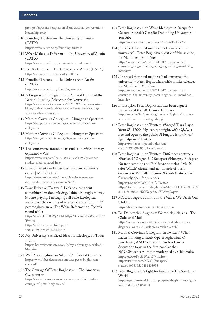[prompt-fergusons-resignation-from-cardinal-conversations](https://stanforddaily.com/2018/05/31/emails-between-ferguson-scr-reveal-opposition-research-against-ocon-prompt-fergusons-resignation-from-cardinal-conversations-leadership-role/)[leadership-role/](https://stanforddaily.com/2018/05/31/emails-between-ferguson-scr-reveal-opposition-research-against-ocon-prompt-fergusons-resignation-from-cardinal-conversations-leadership-role/)

- 110 Founding Trustees The University of Austin (UATX) <https://www.uaustin.org/founding-trustees>
- 111 What Makes us Different The University of Austin (UATX)

<https://www.uaustin.org/what-makes-us-different>

- 112 Faculty Fellows The University of Austin (UATX) <https://www.uaustin.org/faculty-fellows>
- 113 Founding Trustees The University of Austin (UATX)

<https://www.uaustin.org/founding-trustees>

- 114 A Progressive Biologist From Portland Is One of the Nation's Leading Advocates for Ivermectin [https://www.wweek.com/news/2021/09/15/a-progressive](https://www.wweek.com/news/2021/09/15/a-progressive-biologist-from-portland-is-one-of-the-nations-leading-advocates-for-ivermectin/)[biologist-from-portland-is-one-of-the-nations-leading](https://www.wweek.com/news/2021/09/15/a-progressive-biologist-from-portland-is-one-of-the-nations-leading-advocates-for-ivermectin/)[advocates-for-ivermectin/](https://www.wweek.com/news/2021/09/15/a-progressive-biologist-from-portland-is-one-of-the-nations-leading-advocates-for-ivermectin/)
- 115 Mathias Corvinus Collegium Hungarian Spectrum [https://hungarianspectrum.org/tag/mathias-corvinus](https://hungarianspectrum.org/tag/mathias-corvinus-collegium/)[collegium/](https://hungarianspectrum.org/tag/mathias-corvinus-collegium/)
- 116 Mathias Corvinus Collegium Hungarian Spectrum [https://hungarianspectrum.org/tag/mathias-corvinus](https://hungarianspectrum.org/tag/mathias-corvinus-collegium/)[collegium/](https://hungarianspectrum.org/tag/mathias-corvinus-collegium/)
- 117 The controversy around hoax studies in critical theory, explained - Vox [https://www.vox.com/2018/10/15/17951492/grievance](https://www.vox.com/2018/10/15/17951492/grievance-studies-sokal-squared-hoax)[studies-sokal-squared-hoax](https://www.vox.com/2018/10/15/17951492/grievance-studies-sokal-squared-hoax)
- 118 How university wokeness destroyed an academic's career | MercatorNet [https://mercatornet.com/how-university-wokeness](https://mercatornet.com/how-university-wokeness-destroyed-an-academics-career/74579/)[destroyed-an-academics-career/74579/](https://mercatornet.com/how-university-wokeness-destroyed-an-academics-career/74579/)
- 119 Dave Rubin on Twitter: ""Let's be clear about something. I'm done playing. I think @douglasmurray is done playing. I'm waging full scale ideological warfare on the enemies of western civilization. —- @ peterboghossian on The Woke Reformation. Today's round table:

https://t.co/H18HGVyXKM https://t.co/nUA23WsZpD" / Twitter [https://twitter.com/rubinreport/](https://twitter.com/rubinreport/status/1393324593323126795) [status/1393324593323126795](https://twitter.com/rubinreport/status/1393324593323126795)

120 My University Sacrificed Ideas for Ideology. So Today I Quit.

[https://bariweiss.substack.com/p/my-university-sacrificed](https://bariweiss.substack.com/p/my-university-sacrificed-ideas-for)[ideas-for](https://bariweiss.substack.com/p/my-university-sacrificed-ideas-for)

- 121 Was Peter Boghossian Silenced? Liberal Currents [https://www.liberalcurrents.com/was-peter-boghossian](https://www.liberalcurrents.com/was-peter-boghossian-silenced/)[silenced/](https://www.liberalcurrents.com/was-peter-boghossian-silenced/)
- 122 The Courage Of Peter Boghossian The American Conservative

[https://www.theamericanconservative.com/dreher/the](https://www.theamericanconservative.com/dreher/the-courage-of-peter-boghossian/)[courage-of-peter-boghossian/](https://www.theamericanconservative.com/dreher/the-courage-of-peter-boghossian/)

123 Peter Boghossian on Woke Ideology: 'A Recipe for Cultural Suicide'; Case for Defunding Universities - YouTube

<https://www.youtube.com/watch?v=bpivTw1KZ6s>

- 124 "I noticed that total madness had consumed the university" – Peter Boghossian, critic of fake science, for Mandiner | Mandiner [https://mandiner.hu/cikk/20211017\\_madness\\_had\\_](https://mandiner.hu/cikk/20211017_madness_had_consumed_the_university_peter_boghossian_mandiner_interview) [consumed\\_the\\_university\\_peter\\_boghossian\\_mandiner\\_](https://mandiner.hu/cikk/20211017_madness_had_consumed_the_university_peter_boghossian_mandiner_interview) [interview](https://mandiner.hu/cikk/20211017_madness_had_consumed_the_university_peter_boghossian_mandiner_interview)
- 125 . I noticed that total madness had consumed the university" – Peter Boghossian, critic of fake science, for Mandiner | Mandiner [https://mandiner.hu/cikk/20211017\\_madness\\_had\\_](https://mandiner.hu/cikk/20211017_madness_had_consumed_the_university_peter_boghossian_mandiner_interview) [consumed\\_the\\_university\\_peter\\_boghossian\\_mandiner\\_](https://mandiner.hu/cikk/20211017_madness_had_consumed_the_university_peter_boghossian_mandiner_interview) [interview](https://mandiner.hu/cikk/20211017_madness_had_consumed_the_university_peter_boghossian_mandiner_interview)
- 126 Philosopher Peter Boghossian has been a guest instructor at the MCC since February [https://mcc.hu/hir/peter-boghossian-vilaghiru-filozofus](https://mcc.hu/hir/peter-boghossian-vilaghiru-filozofus-februartol-az-mcc-vendegoktatoja)[februartol-az-mcc-vendegoktatoja](https://mcc.hu/hir/peter-boghossian-vilaghiru-filozofus-februartol-az-mcc-vendegoktatoja)
- 127 Peter Boghossian on Twitter: "#Szeged Tisza Lajos körut 85. 17:00 My lecture tonight, with Q&A, is free and open to the public. #Hungary https://t.co/ Sgxq64pasw" / Twitter [https://twitter.com/peterboghossian/](https://twitter.com/peterboghossian/status/1491391606171508737?s=10) [status/1491391606171508737?s=10](https://twitter.com/peterboghossian/status/1491391606171508737?s=10)
- 128 Peter Boghossian on Twitter: "Differences between #Portland #Oregon & #Budapest #Hungary Budapest: No tent camping and \*far\* fewer homeless \*Much\* safer \*Much\* cleaner and no mounds of trash everywhere Virtually no guns No riots Statues exist Currently open for business https://t.co/zhMRyMuLzu" / Twitter [https://twitter.com/peterboghossian/status/14911282113377](https://twitter.com/peterboghossian/status/1491128211337781249?s=20&t=7KOKeqadita7ELr3vqOqzw) [81249?s=20&t=7KOKeqadita7ELr3vqOqzw](https://twitter.com/peterboghossian/status/1491128211337781249?s=20&t=7KOKeqadita7ELr3vqOqzw)
- 129 MCC Budapest Summit on the Values We Teach Our Children

https://budapestsummit.mcc.hu/#lecturers

- 130 Dr. Dalrymple's diagnosis: We're sick, sick, sick The Globe and Mail [https://www.theglobeandmail.com/arts/dr-dalrymples](https://www.theglobeandmail.com/arts/dr-dalrymples-diagnosis-were-sick-sick-sick/article737891/)[diagnosis-were-sick-sick-sick/article737891/](https://www.theglobeandmail.com/arts/dr-dalrymples-diagnosis-were-sick-sick-sick/article737891/)
- 131 Mathias Corvinus Collegium on Twitter: "What makes thinking critical? @peterboghossian, @ Furedibyte, @ASCphiled and András Lánczi discuss the topic in the first panel at the #MCCBudapsetSummit, moderated by @bkalnoky. https://t.co/6F9GHWart5" / Twitter [https://twitter.com/MCC\\_Budapest/](https://twitter.com/MCC_Budapest/status/1493889330481405955) [status/1493889330481405955](https://twitter.com/MCC_Budapest/status/1493889330481405955)
- 132 Peter Boghossian's fight for freedom The Spectator World

[https://spectatorworld.com/topic/peter-boghossians-fight](https://spectatorworld.com/topic/peter-boghossians-fight-for-freedom/)[for-freedom/](https://spectatorworld.com/topic/peter-boghossians-fight-for-freedom/) (paywall)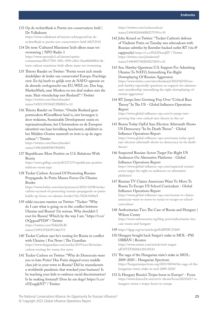133 [Op de rechterflank is Poetin een conservatieve held |](https://www.volkskrant.nl/nieuws-achtergrond/op-de-rechterflank-is-poetin-een-conservatieve-held~b8272543/)  [De Volkskrant](https://www.volkskrant.nl/nieuws-achtergrond/op-de-rechterflank-is-poetin-een-conservatieve-held~b8272543/)

[https://www.volkskrant.nl/nieuws-achtergrond/op-de](https://www.volkskrant.nl/nieuws-achtergrond/op-de-rechterflank-is-poetin-een-conservatieve-held~b8272543)[rechterflank-is-poetin-een-conservatieve-held~b8272543](https://www.volkskrant.nl/nieuws-achtergrond/op-de-rechterflank-is-poetin-een-conservatieve-held~b8272543)

134 De term 'Cultureel Marxisme' leidt alleen maar tot verwarring | NPO Radio 1

[https://www.nporadio1.nl/nieuws/opinie](https://www.nporadio1.nl/nieuws/opinie-commentaar/80177581-305c-45f4-a3b4-3bae8668d84c/de-term-cultuur-marxisme-leidt-alleen-maar-tot-verwarring)[commentaar/80177581-305c-45f4-a3b4-3bae8668d84c/de](https://www.nporadio1.nl/nieuws/opinie-commentaar/80177581-305c-45f4-a3b4-3bae8668d84c/de-term-cultuur-marxisme-leidt-alleen-maar-tot-verwarring)[term-cultuur-marxisme-leidt-alleen-maar-tot-verwarring](https://www.nporadio1.nl/nieuws/opinie-commentaar/80177581-305c-45f4-a3b4-3bae8668d84c/de-term-cultuur-marxisme-leidt-alleen-maar-tot-verwarring)

- 135 Thierry Baudet on Twitter: "Poetin toont zich steeds duidelijker de leider van conservatief Europa. Prachtige vent. En hij heeft zo gelijk over de NAVO-agressie en de absurde oorlogszucht van EU, WEF, etc. Dus hup, MarkieMark, naar Moskou en een deal maken met die man. Sluit vriendschap met Rusland!" / Twitter [https://twitter.com/thierrybaudet/](https://twitter.com/thierrybaudet/status/1492115935687290882?s=12) [status/1492115935687290882?s=12](https://twitter.com/thierrybaudet/status/1492115935687290882?s=12)
- 136 Thierry Baudet on Twitter: "Omdat Rusland geen postmodern #GreatReset land is, niet bevangen is door wokisme, Sustainable Development onzin en supranationalisme, het Christendom en de Europese identiteit van haar bevolking beschermt, stabiliteit in het Midden-Oosten nastreeft en trots is op de eigen cultuur" / Twitter [https://twitter.com/thierrybaudet/](https://twitter.com/thierrybaudet/status/1496106085865902081)

[status/1496106085865902081](https://twitter.com/thierrybaudet/status/1496106085865902081)

137 Republicans More Positive on U.S. Relations With Russia

[https://news.gallup.com/poll/237137/republicans-positive](https://news.gallup.com/poll/237137/republicans-positive-relations-russia.aspx)[relations-russia.aspx](https://news.gallup.com/poll/237137/republicans-positive-relations-russia.aspx)

138 Tucker Carlson Accused Of Promoting Russian Propaganda As Putin Masses Forces On Ukraine Border

[https://www.forbes.com/sites/petersuciu/2021/12/08/tucker](https://www.forbes.com/sites/petersuciu/2021/12/08/tucker-carlson-accused-of-promoting-russian-propaganda-as-putin-builds-up-forces-on-ukraine-border/?sh=7fd363438ef3)[carlson-accused-of-promoting-russian-propaganda-as-putin](https://www.forbes.com/sites/petersuciu/2021/12/08/tucker-carlson-accused-of-promoting-russian-propaganda-as-putin-builds-up-forces-on-ukraine-border/?sh=7fd363438ef3)[builds-up-forces-on-ukraine-border/?sh=7fd363438ef3](https://www.forbes.com/sites/petersuciu/2021/12/08/tucker-carlson-accused-of-promoting-russian-propaganda-as-putin-builds-up-forces-on-ukraine-border/?sh=7fd363438ef3)

139 nikki mccann ramírez on Twitter: "Tucker: "Why do I care what is going on in the conflict between Ukraine and Russia? I'm serious. Why shouldn't I root for Russia? Which by the way I am." https://t.co/ OQopoxPYD9" / Twitter [https://twitter.com/NikkiMcR/](https://twitter.com/NikkiMcR/status/1199135926955466753) [status/1199135926955466753](https://twitter.com/NikkiMcR/status/1199135926955466753)

- 140 Tucker Carlson says he's rooting for Russia in conflict with Ukraine | Fox News | The Guardian [https://www.theguardian.com/media/2019/nov/26/tucker](https://www.theguardian.com/media/2019/nov/26/tucker-carlson-rooting-for-russia-fox-news)[carlson-rooting-for-russia-fox-news](https://www.theguardian.com/media/2019/nov/26/tucker-carlson-rooting-for-russia-fox-news)
- 141 Tucker Carlson on Twitter: "Why do Democrats want you to hate Putin? Has Putin shipped every middle class job in your town to Russia? Did he manufacture a worldwide pandemic that wrecked your business? Is he teaching your kids to embrace racial discrimination? Is he making fentanyl? Does he eat dogs? https://t.co/ xYEvapjbNT" / Twitter

[https://twitter.com/tuckercarlson/](https://twitter.com/tuckercarlson/status/1496302694088257539?s=10) [status/1496302694088257539?s=10](https://twitter.com/tuckercarlson/status/1496302694088257539?s=10)

- 142 John Kruzel on Twitter: "Tucker Carlson's defense of Vladimir Putin on Tuesday was rebroadcast with Russian subtitles by Kremlin-backed outlet RT (via @ ragipsoylu) https://t.co/PsZZ9enuJD" / Twitter [https://twitter.com/johnkruzel/](https://twitter.com/johnkruzel/status/1496905740203827205?s=21) [status/1496905740203827205?s=21](https://twitter.com/johnkruzel/status/1496905740203827205?s=21)
- 143 Sen. Hawley Questions U.S. Support For Admitting Ukraine To NATO, Intensifying Far-Right Downplaying Of Russian Aggression [https://www.forbes.com/sites/dereksaul/2022/02/02/sen](https://www.forbes.com/sites/dereksaul/2022/02/02/sen-josh-hawley-reportedly-questions-us-support-for-ukraines-nato-membership-intensifying-far-right-downplaying-of-russian-aggression/)[josh-hawley-reportedly-questions-us-support-for-ukraines](https://www.forbes.com/sites/dereksaul/2022/02/02/sen-josh-hawley-reportedly-questions-us-support-for-ukraines-nato-membership-intensifying-far-right-downplaying-of-russian-aggression/)[nato-membership-intensifying-far-right-downplaying-of](https://www.forbes.com/sites/dereksaul/2022/02/02/sen-josh-hawley-reportedly-questions-us-support-for-ukraines-nato-membership-intensifying-far-right-downplaying-of-russian-aggression/)[russian-aggression/](https://www.forbes.com/sites/dereksaul/2022/02/02/sen-josh-hawley-reportedly-questions-us-support-for-ukraines-nato-membership-intensifying-far-right-downplaying-of-russian-aggression/)
- 144 RT Jumps Into Growing Fray Over "Critical Race Theory" In The US - Global Influence Operations Report

[https://www.global-influence-ops.com/rt-jumps-into](https://www.global-influence-ops.com/rt-jumps-into-growing-fray-over-critical-race-theory-in-the-us/)[growing-fray-over-critical-race-theory-in-the-us/](https://www.global-influence-ops.com/rt-jumps-into-growing-fray-over-critical-race-theory-in-the-us/)

- 145 Russia Today OpEd Says Election Aftermath Shows US Democracy "In Its Death Throes" - Global Influence Operations Report [https://www.global-influence-ops.com/russia-today-oped](https://www.global-influence-ops.com/russia-today-oped-says-election-aftermath-shows-us-democracy-in-its-death-throes/)[says-election-aftermath-shows-us-democracy-in-its-death](https://www.global-influence-ops.com/russia-today-oped-says-election-aftermath-shows-us-democracy-in-its-death-throes/)[throes/](https://www.global-influence-ops.com/russia-today-oped-says-election-aftermath-shows-us-democracy-in-its-death-throes/)
- 146 Suspected Russian Actors Target Far-Right US Audiences On Alternative Platforms - Global Influence Operations Report [https://www.global-influence-ops.com/suspected-russian](https://www.global-influence-ops.com/suspected-russian-actors-target-far-right-us-audiences-on-alternative-platforms/)[actors-target-far-right-us-audiences-on-alternative](https://www.global-influence-ops.com/suspected-russian-actors-target-far-right-us-audiences-on-alternative-platforms/)[platforms/](https://www.global-influence-ops.com/suspected-russian-actors-target-far-right-us-audiences-on-alternative-platforms/)
- 147 Russian TV Claims Americans Want To Move To Russia To Escape US School Curriculum - Global Influence Operations Report [https://www.global-influence-ops.com/russian-tv-claims-](https://www.global-influence-ops.com/russian-tv-claims-americans-want-to-move-to-russia-to-escape-us-school-curriculum/)

[americans-want-to-move-to-russia-to-escape-us-school](https://www.global-influence-ops.com/russian-tv-claims-americans-want-to-move-to-russia-to-escape-us-school-curriculum/)[curriculum/](https://www.global-influence-ops.com/russian-tv-claims-americans-want-to-move-to-russia-to-escape-us-school-curriculum/)

148 Authoritarian Ties: The Case of Russia and Hungary | Wilson Center

[https://www.wilsoncenter.org/blog-post/authoritarian-ties](https://www.wilsoncenter.org/blog-post/authoritarian-ties-case-russia-and-hungary)[case-russia-and-hungary](https://www.wilsoncenter.org/blog-post/authoritarian-ties-case-russia-and-hungary)

- 149 <https://dgap.org/en/article/getFullPDF/27609>
- 150 Hungary bought back Surgut's stake in MOL -PM ORBÁN | Reuters [https://www.reuters.com/article/mol-surgut](https://www.reuters.com/article/mol-surgut-idUSTST00206120110524)[idUSTST00206120110524](https://www.reuters.com/article/mol-surgut-idUSTST00206120110524)
- 151 The saga of the Hungarian state's stake in MOL: 2009-2020 – Hungarian Spectrum [https://hungarianspectrum.org/2021/08/04/the-saga-of-the](https://hungarianspectrum.org/2021/08/04/the-saga-of-the-hungarian-states-stake-in-mol-2009-2020/)[hungarian-states-stake-in-mol-2009-2020/](https://hungarianspectrum.org/2021/08/04/the-saga-of-the-hungarian-states-stake-in-mol-2009-2020/)
- 152 Is Hungary Russia's Trojan horse in Europe? Focus [https://www.france24.com/en/tv-shows/focus/20210217-is](https://www.france24.com/en/tv-shows/focus/20210217-is-hungary-russia-s-trojan-horse-in-europe)[hungary-russia-s-trojan-horse-in-europe](https://www.france24.com/en/tv-shows/focus/20210217-is-hungary-russia-s-trojan-horse-in-europe)